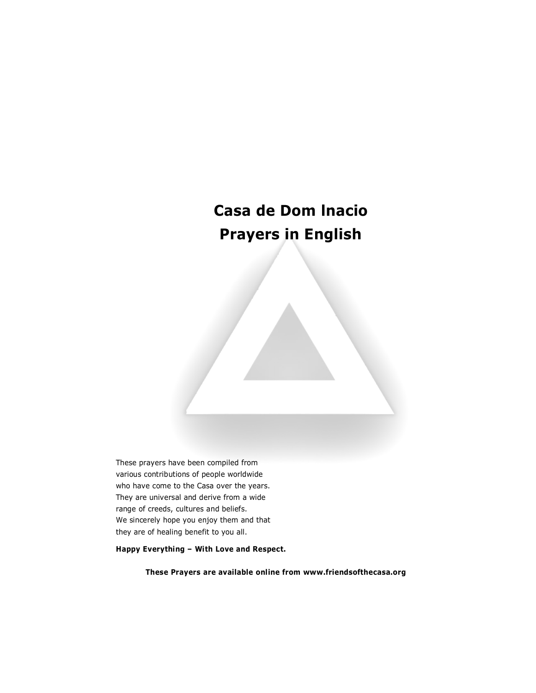# Casa de Dom lnacio Prayers in English

These prayers have been compiled from various contributions of people worldwide who have come to the Casa over the years. They are universal and derive from a wide range of creeds, cultures and beliefs. We sincerely hope you enjoy them and that they are of healing benefit to you all.

Happy Everything – With Love and Respect.

These Prayers are available online from www.friendsofthecasa.org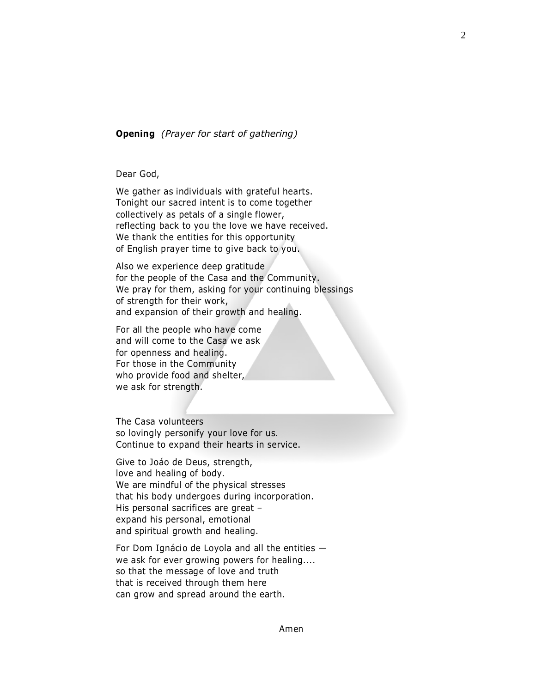**Opening** (Prayer for start of gathering)

Dear God,

We gather as individuals with grateful hearts. Tonight our sacred intent is to come together collectively as petals of a single flower, reflecting back to you the love we have received. We thank the entities for this opportunity of English prayer time to give back to you.

Also we experience deep gratitude for the people of the Casa and the Community. We pray for them, asking for your continuing blessings of strength for their work, and expansion of their growth and healing.

For all the people who have come and will come to the Casa we ask for openness and healing. For those in the Community who provide food and shelter, we ask for strength.

The Casa volunteers so lovingly personify your love for us. Continue to expand their hearts in service.

Give to Joáo de Deus, strength, love and healing of body. We are mindful of the physical stresses that his body undergoes during incorporation. His personal sacrifices are great – expand his personal, emotional and spiritual growth and healing.

For Dom Ignácio de Loyola and all the entities we ask for ever growing powers for healing.... so that the message of love and truth that is received through them here can grow and spread around the earth.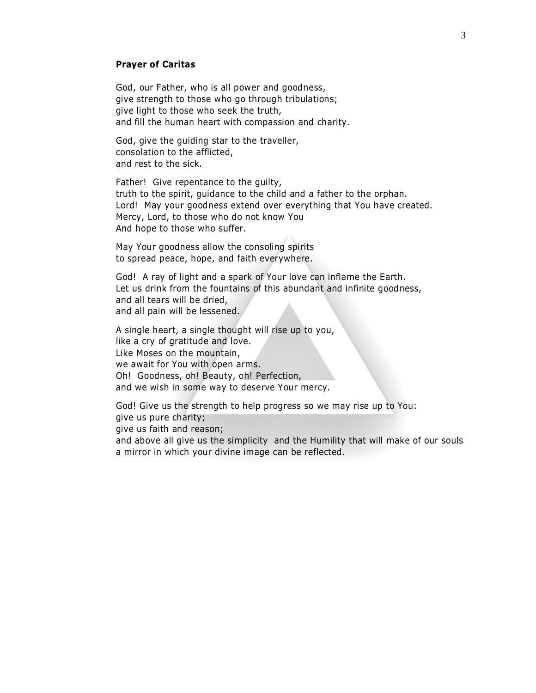#### Prayer of Caritas

God, our Father, who is all power and goodness, give strength to those who go through tribulations; give light to those who seek the truth, and fill the human heart with compassion and charity.

God, give the guiding star to the traveller, consolation to the afflicted, and rest to the sick.

Father! Give repentance to the quilty, truth to the spirit, guidance to the child and a father to the orphan. Lord! May your goodness extend over everything that You have created. Mercy, Lord, to those who do not know You And hope to those who suffer.

May Your goodness allow the consoling spirits to spread peace, hope, and faith everywhere.

God! A ray of light and a spark of Your love can inflame the Earth. Let us drink from the fountains of this abundant and infinite goodness, and all tears will be dried, and all pain will be lessened.

A single heart, a single thought will rise up to you, like a cry of gratitude and love. Like Moses on the mountain, we await for You with open arms. Oh! Goodness, oh! Beauty, oh! Perfection, and we wish in some way to deserve Your mercy.

God! Give us the strength to help progress so we may rise up to You: give us pure charity; give us faith and reason; and above all give us the simplicity and the Humility that will make of our souls a mirror in which your divine image can be reflected.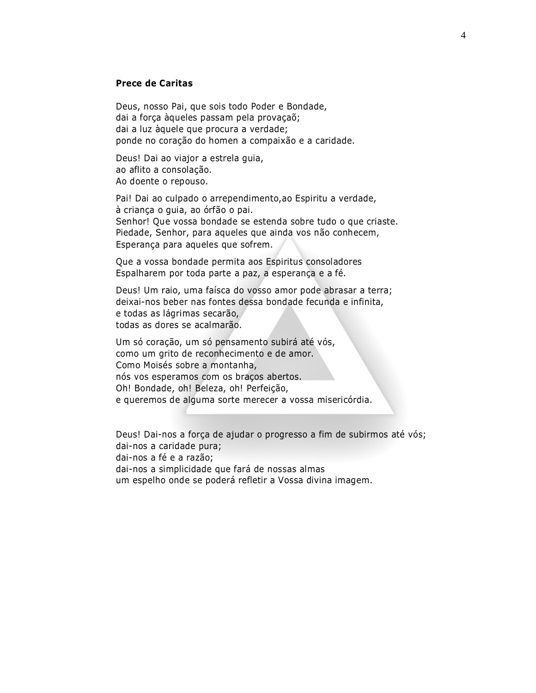## Prece de Caritas

Deus, nosso Pai, que sois todo Poder e Bondade, dai a força àqueles passam pela provaçaõ; dai a luz àquele que procura a verdade; ponde no coração do homen a compaixão e a caridade.

Deus! Dai ao viajor a estrela guia, ao aflito a consolação. Ao doente o repouso.

Pai! Dai ao culpado o arrependimento,ao Espiritu a verdade, à criança o guia, ao órfão o pai. Senhor! Que vossa bondade se estenda sobre tudo o que criaste. Piedade, Senhor, para aqueles que ainda vos não conhecem, Esperança para aqueles que sofrem.

Que a vossa bondade permita aos Espiritus consoladores Espalharem por toda parte a paz, a esperança e a fé.

Deus! Um raio, uma faísca do vosso amor pode abrasar a terra; deixai-nos beber nas fontes dessa bondade fecunda e infinita, e todas as lágrimas secarão, todas as dores se acalmarão.

Um só coração, um só pensamento subirá até vós, como um grito de reconhecimento e de amor. Como Moisés sobre a montanha, nós vos esperamos com os braços abertos. Oh! Bondade, oh! Beleza, oh! Perfeição, e queremos de alguma sorte merecer a vossa misericórdia.

Deus! Dai-nos a força de ajudar o progresso a fim de subirmos até vós; dai-nos a caridade pura; dai-nos a fé e a razão; dai-nos a simplicidade que fará de nossas almas um espelho onde se poderá refletir a Vossa divina imagem.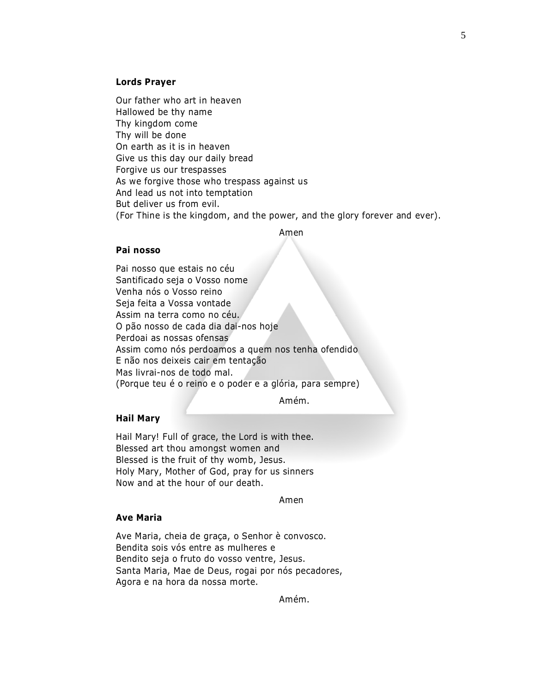## Lords Prayer

Our father who art in heaven Hallowed be thy name Thy kingdom come Thy will be done On earth as it is in heaven Give us this day our daily bread Forgive us our trespasses As we forgive those who trespass against us And lead us not into temptation But deliver us from evil. (For Thine is the kingdom, and the power, and the glory forever and ever).

Amen

#### Pai nosso

Pai nosso que estais no céu Santificado seja o Vosso nome Venha nós o Vosso reino Seja feita a Vossa vontade Assim na terra como no céu. O pão nosso de cada dia dai-nos hoje Perdoai as nossas ofensas Assim como nós perdoamos a quem nos tenha ofendido E não nos deixeis cair em tentação Mas livrai-nos de todo mal. (Porque teu é o reino e o poder e a glória, para sempre)

Amém.

## Hail Mary

Hail Mary! Full of grace, the Lord is with thee. Blessed art thou amongst women and Blessed is the fruit of thy womb, Jesus. Holy Mary, Mother of God, pray for us sinners Now and at the hour of our death.

Amen

## Ave Maria

Ave Maria, cheia de graça, o Senhor è convosco. Bendita sois vós entre as mulheres e Bendito seja o fruto do vosso ventre, Jesus. Santa Maria, Mae de Deus, rogai por nós pecadores, Agora e na hora da nossa morte.

Amém.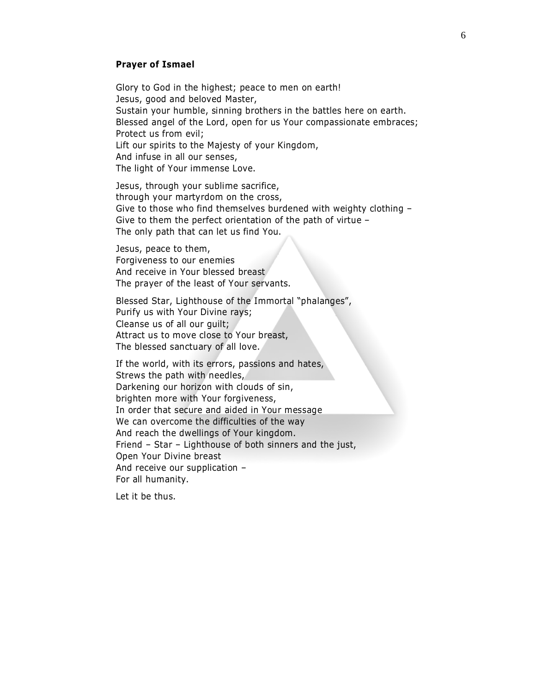#### Prayer of Ismael

Glory to God in the highest; peace to men on earth! Jesus, good and beloved Master, Sustain your humble, sinning brothers in the battles here on earth. Blessed angel of the Lord, open for us Your compassionate embraces; Protect us from evil; Lift our spirits to the Majesty of your Kingdom, And infuse in all our senses, The light of Your immense Love.

Jesus, through your sublime sacrifice, through your martyrdom on the cross, Give to those who find themselves burdened with weighty clothing – Give to them the perfect orientation of the path of virtue – The only path that can let us find You.

Jesus, peace to them, Forgiveness to our enemies And receive in Your blessed breast The prayer of the least of Your servants.

Blessed Star, Lighthouse of the Immortal "phalanges", Purify us with Your Divine rays; Cleanse us of all our guilt; Attract us to move close to Your breast, The blessed sanctuary of all love.

If the world, with its errors, passions and hates, Strews the path with needles, Darkening our horizon with clouds of sin, brighten more with Your forgiveness, In order that secure and aided in Your message We can overcome the difficulties of the way And reach the dwellings of Your kingdom. Friend – Star – Lighthouse of both sinners and the just, Open Your Divine breast And receive our supplication – For all humanity.

Let it be thus.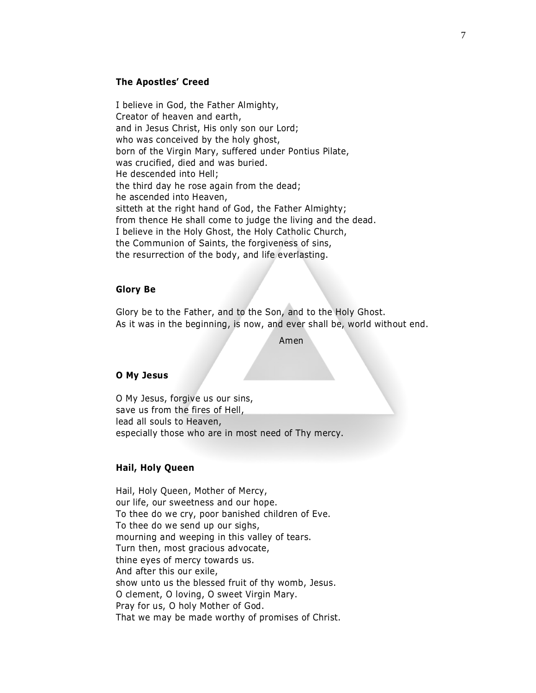## The Apostles' Creed

I believe in God, the Father Almighty, Creator of heaven and earth, and in Jesus Christ, His only son our Lord; who was conceived by the holy ghost, born of the Virgin Mary, suffered under Pontius Pilate, was crucified, died and was buried. He descended into Hell; the third day he rose again from the dead; he ascended into Heaven, sitteth at the right hand of God, the Father Almighty; from thence He shall come to judge the living and the dead. I believe in the Holy Ghost, the Holy Catholic Church, the Communion of Saints, the forgiveness of sins, the resurrection of the body, and life everlasting.

## Glory Be

Glory be to the Father, and to the Son, and to the Holy Ghost. As it was in the beginning, is now, and ever shall be, world without end.

Amen

## O My Jesus

O My Jesus, forgive us our sins, save us from the fires of Hell, lead all souls to Heaven, especially those who are in most need of Thy mercy.

### Hail, Holy Queen

Hail, Holy Queen, Mother of Mercy, our life, our sweetness and our hope. To thee do we cry, poor banished children of Eve. To thee do we send up our sighs, mourning and weeping in this valley of tears. Turn then, most gracious advocate, thine eyes of mercy towards us. And after this our exile, show unto us the blessed fruit of thy womb, Jesus. O clement, O loving, O sweet Virgin Mary. Pray for us, O holy Mother of God. That we may be made worthy of promises of Christ.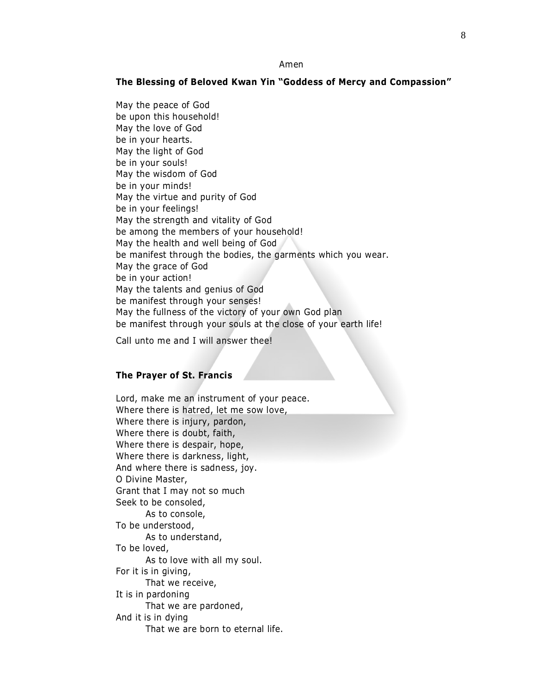## The Blessing of Beloved Kwan Yin "Goddess of Mercy and Compassion"

May the peace of God be upon this household! May the love of God be in your hearts. May the light of God be in your souls! May the wisdom of God be in your minds! May the virtue and purity of God be in your feelings! May the strength and vitality of God be among the members of your household! May the health and well being of God be manifest through the bodies, the garments which you wear. May the grace of God be in your action! May the talents and genius of God be manifest through your senses! May the fullness of the victory of your own God plan be manifest through your souls at the close of your earth life!

Call unto me and I will answer thee!

## The Prayer of St. Francis

Lord, make me an instrument of your peace. Where there is hatred, let me sow love, Where there is injury, pardon, Where there is doubt, faith, Where there is despair, hope, Where there is darkness, light, And where there is sadness, joy. O Divine Master, Grant that I may not so much Seek to be consoled, As to console, To be understood, As to understand, To be loved, As to love with all my soul. For it is in giving, That we receive, It is in pardoning That we are pardoned, And it is in dying That we are born to eternal life.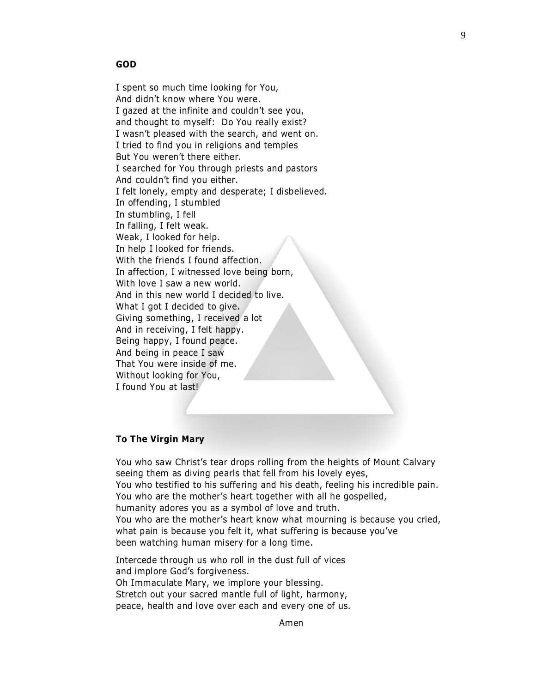## GOD

I spent so much time looking for You, And didn't know where You were. I gazed at the infinite and couldn't see you, and thought to myself: Do You really exist? I wasn't pleased with the search, and went on. I tried to find you in religions and temples But You weren't there either. I searched for You through priests and pastors And couldn't find you either. I felt lonely, empty and desperate; I disbelieved. In offending, I stumbled In stumbling, I fell In falling, I felt weak. Weak, I looked for help. In help I looked for friends. With the friends I found affection. In affection, I witnessed love being born, With love I saw a new world. And in this new world I decided to live. What I got I decided to give. Giving something, I received a lot And in receiving, I felt happy. Being happy, I found peace. And being in peace I saw That You were inside of me. Without looking for You, I found You at last!

## To The Virgin Mary

You who saw Christ's tear drops rolling from the heights of Mount Calvary seeing them as diving pearls that fell from his lovely eyes, You who testified to his suffering and his death, feeling his incredible pain. You who are the mother's heart together with all he gospelled, humanity adores you as a symbol of love and truth. You who are the mother's heart know what mourning is because you cried, what pain is because you felt it, what suffering is because you've been watching human misery for a long time.

Intercede through us who roll in the dust full of vices and implore God's forgiveness. Oh Immaculate Mary, we implore your blessing. Stretch out your sacred mantle full of light, harmony, peace, health and love over each and every one of us.

Amen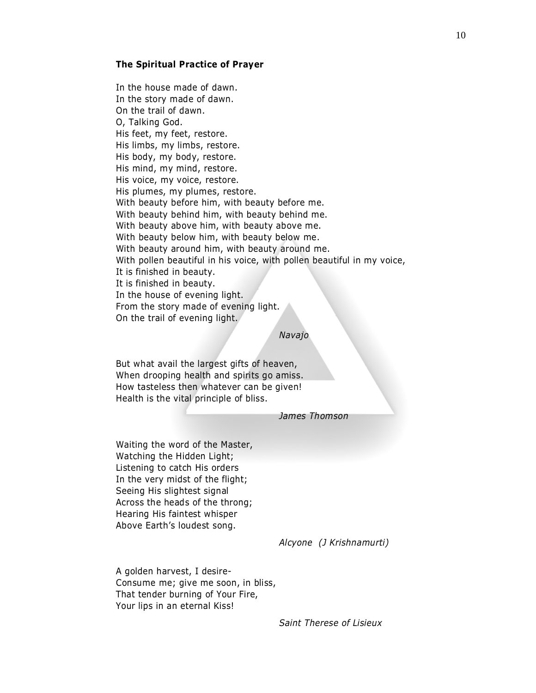#### The Spiritual Practice of Prayer

In the house made of dawn. In the story made of dawn. On the trail of dawn. O, Talking God. His feet, my feet, restore. His limbs, my limbs, restore. His body, my body, restore. His mind, my mind, restore. His voice, my voice, restore. His plumes, my plumes, restore. With beauty before him, with beauty before me. With beauty behind him, with beauty behind me. With beauty above him, with beauty above me. With beauty below him, with beauty below me. With beauty around him, with beauty around me. With pollen beautiful in his voice, with pollen beautiful in my voice, It is finished in beauty. It is finished in beauty. In the house of evening light. From the story made of evening light. On the trail of evening light.

Navajo

But what avail the largest gifts of heaven, When drooping health and spirits go amiss. How tasteless then whatever can be given! Health is the vital principle of bliss.

James Thomson

Waiting the word of the Master, Watching the Hidden Light; Listening to catch His orders In the very midst of the flight; Seeing His slightest signal Across the heads of the throng; Hearing His faintest whisper Above Earth's loudest song.

Alcyone (J Krishnamurti)

A golden harvest, I desire-Consume me; give me soon, in bliss, That tender burning of Your Fire, Your lips in an eternal Kiss!

Saint Therese of Lisieux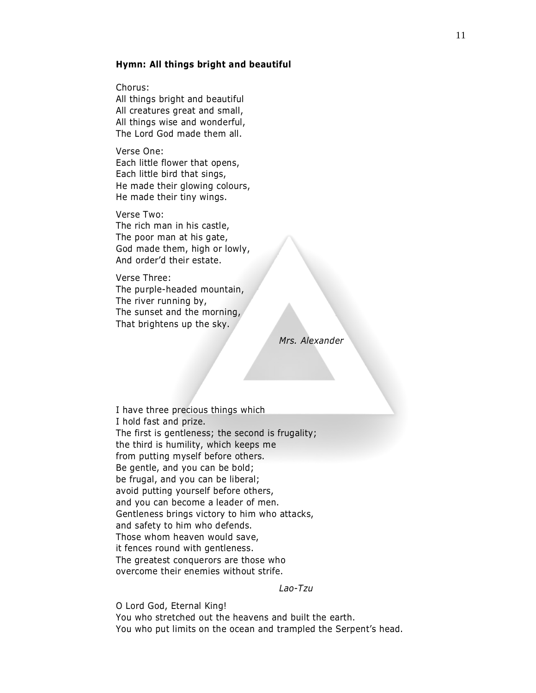#### Hymn: All things bright and beautiful

## Chorus:

All things bright and beautiful All creatures great and small, All things wise and wonderful, The Lord God made them all.

Verse One: Each little flower that opens, Each little bird that sings, He made their glowing colours, He made their tiny wings.

#### Verse Two:

The rich man in his castle, The poor man at his gate, God made them, high or lowly, And order'd their estate.

Verse Three: The purple-headed mountain, The river running by, The sunset and the morning, That brightens up the sky.

Mrs. Alexander

I have three precious things which I hold fast and prize. The first is gentleness; the second is frugality; the third is humility, which keeps me from putting myself before others. Be gentle, and you can be bold; be frugal, and you can be liberal; avoid putting yourself before others, and you can become a leader of men. Gentleness brings victory to him who attacks, and safety to him who defends. Those whom heaven would save, it fences round with gentleness. The greatest conquerors are those who overcome their enemies without strife.

Lao-Tzu

O Lord God, Eternal King! You who stretched out the heavens and built the earth. You who put limits on the ocean and trampled the Serpent's head.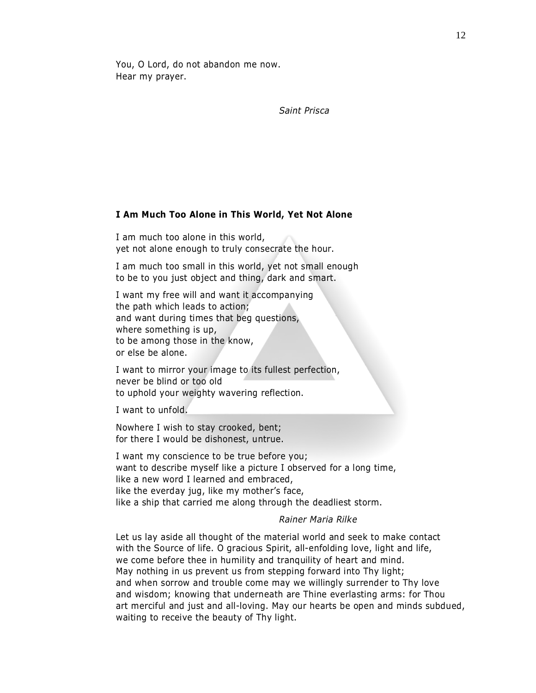You, O Lord, do not abandon me now. Hear my prayer.

Saint Prisca

## I Am Much Too Alone in This World, Yet Not Alone

I am much too alone in this world, yet not alone enough to truly consecrate the hour.

I am much too small in this world, yet not small enough to be to you just object and thing, dark and smart.

I want my free will and want it accompanying the path which leads to action; and want during times that beg questions, where something is up, to be among those in the know, or else be alone.

I want to mirror your image to its fullest perfection, never be blind or too old to uphold your weighty wavering reflection.

I want to unfold.

Nowhere I wish to stay crooked, bent; for there I would be dishonest, untrue.

I want my conscience to be true before you; want to describe myself like a picture I observed for a long time, like a new word I learned and embraced, like the everday jug, like my mother's face, like a ship that carried me along through the deadliest storm.

#### Rainer Maria Rilke

Let us lay aside all thought of the material world and seek to make contact with the Source of life. O gracious Spirit, all-enfolding love, light and life, we come before thee in humility and tranquility of heart and mind. May nothing in us prevent us from stepping forward into Thy light; and when sorrow and trouble come may we willingly surrender to Thy love and wisdom; knowing that underneath are Thine everlasting arms: for Thou art merciful and just and all-loving. May our hearts be open and minds subdued, waiting to receive the beauty of Thy light.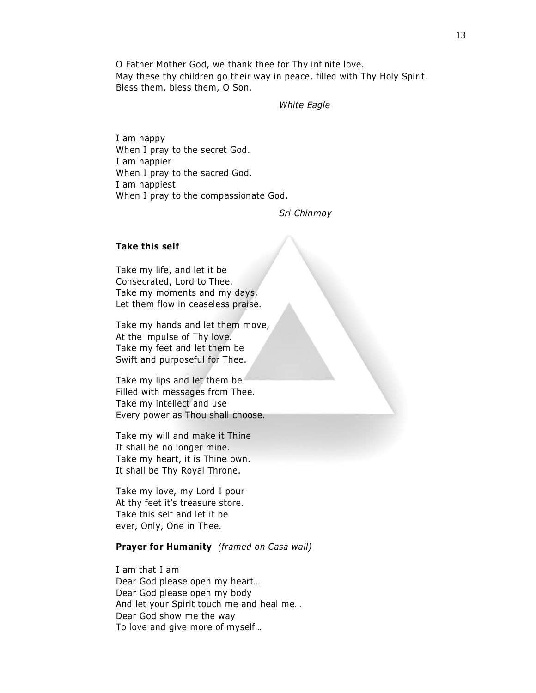O Father Mother God, we thank thee for Thy infinite love. May these thy children go their way in peace, filled with Thy Holy Spirit. Bless them, bless them, O Son.

White Eagle

I am happy When I pray to the secret God. I am happier When I pray to the sacred God. I am happiest When I pray to the compassionate God.

Sri Chinmoy

## Take this self

Take my life, and let it be Consecrated, Lord to Thee. Take my moments and my days, Let them flow in ceaseless praise.

Take my hands and let them move, At the impulse of Thy love. Take my feet and let them be Swift and purposeful for Thee.

Take my lips and let them be Filled with messages from Thee. Take my intellect and use Every power as Thou shall choose.

Take my will and make it Thine It shall be no longer mine. Take my heart, it is Thine own. It shall be Thy Royal Throne.

Take my love, my Lord I pour At thy feet it's treasure store. Take this self and let it be ever, Only, One in Thee.

#### Prayer for Humanity (framed on Casa wall)

I am that I am Dear God please open my heart… Dear God please open my body And let your Spirit touch me and heal me… Dear God show me the way To love and give more of myself…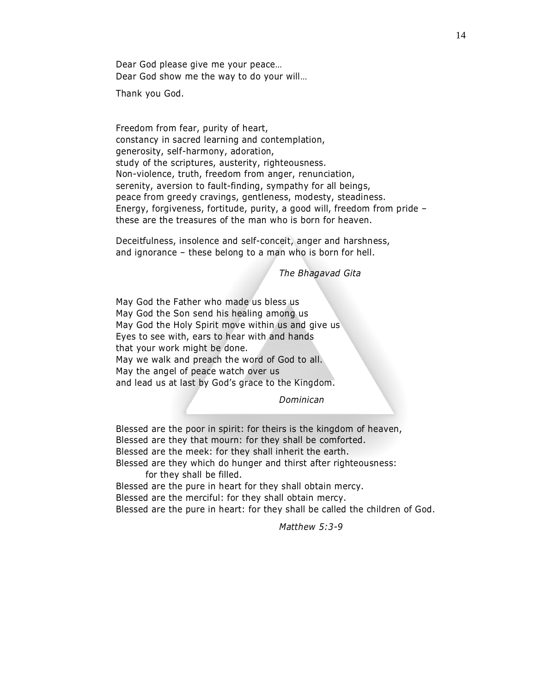Dear God please give me your peace… Dear God show me the way to do your will…

Thank you God.

Freedom from fear, purity of heart, constancy in sacred learning and contemplation, generosity, self-harmony, adoration, study of the scriptures, austerity, righteousness. Non-violence, truth, freedom from anger, renunciation, serenity, aversion to fault-finding, sympathy for all beings, peace from greedy cravings, gentleness, modesty, steadiness. Energy, forgiveness, fortitude, purity, a good will, freedom from pride – these are the treasures of the man who is born for heaven.

Deceitfulness, insolence and self-conceit, anger and harshness, and ignorance – these belong to a man who is born for hell.

#### The Bhagavad Gita

May God the Father who made us bless us May God the Son send his healing among us May God the Holy Spirit move within us and give us Eyes to see with, ears to hear with and hands that your work might be done. May we walk and preach the word of God to all. May the angel of peace watch over us and lead us at last by God's grace to the Kingdom.

Dominican

Blessed are the poor in spirit: for theirs is the kingdom of heaven, Blessed are they that mourn: for they shall be comforted. Blessed are the meek: for they shall inherit the earth. Blessed are they which do hunger and thirst after righteousness: for they shall be filled.

Blessed are the pure in heart for they shall obtain mercy. Blessed are the merciful: for they shall obtain mercy. Blessed are the pure in heart: for they shall be called the children of God.

Matthew 5:3-9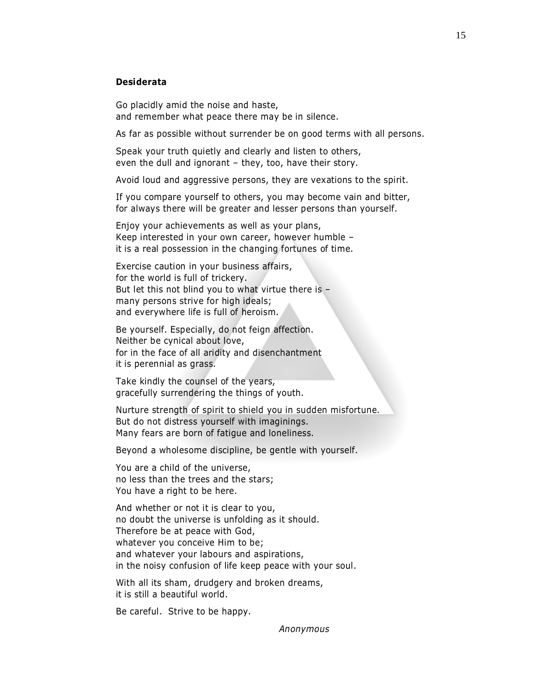## Desiderata

Go placidly amid the noise and haste, and remember what peace there may be in silence.

As far as possible without surrender be on good terms with all persons.

Speak your truth quietly and clearly and listen to others, even the dull and ignorant – they, too, have their story.

Avoid loud and aggressive persons, they are vexations to the spirit.

If you compare yourself to others, you may become vain and bitter, for always there will be greater and lesser persons than yourself.

Enjoy your achievements as well as your plans, Keep interested in your own career, however humble – it is a real possession in the changing fortunes of time.

Exercise caution in your business affairs, for the world is full of trickery. But let this not blind you to what virtue there is – many persons strive for high ideals; and everywhere life is full of heroism.

Be yourself. Especially, do not feign affection. Neither be cynical about love, for in the face of all aridity and disenchantment it is perennial as grass.

Take kindly the counsel of the years, gracefully surrendering the things of youth.

Nurture strength of spirit to shield you in sudden misfortune. But do not distress yourself with imaginings. Many fears are born of fatigue and loneliness.

Beyond a wholesome discipline, be gentle with yourself.

You are a child of the universe, no less than the trees and the stars; You have a right to be here.

And whether or not it is clear to you, no doubt the universe is unfolding as it should. Therefore be at peace with God, whatever you conceive Him to be; and whatever your labours and aspirations, in the noisy confusion of life keep peace with your soul.

With all its sham, drudgery and broken dreams, it is still a beautiful world.

Be careful. Strive to be happy.

Anonymous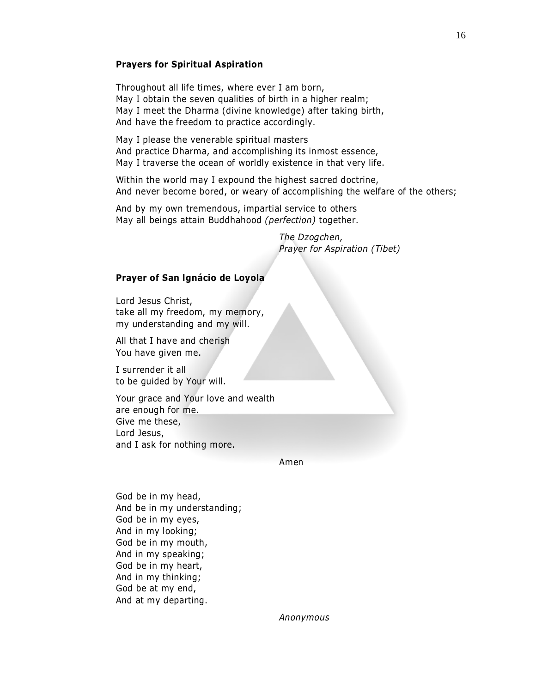#### Prayers for Spiritual Aspiration

Throughout all life times, where ever I am born, May I obtain the seven qualities of birth in a higher realm; May I meet the Dharma (divine knowledge) after taking birth, And have the freedom to practice accordingly.

May I please the venerable spiritual masters And practice Dharma, and accomplishing its inmost essence, May I traverse the ocean of worldly existence in that very life.

Within the world may I expound the highest sacred doctrine, And never become bored, or weary of accomplishing the welfare of the others;

And by my own tremendous, impartial service to others May all beings attain Buddhahood (perfection) together.

> The Dzogchen, Prayer for Aspiration (Tibet)

## Prayer of San lgnácio de Loyola

Lord Jesus Christ, take all my freedom, my memory, my understanding and my will.

All that I have and cherish You have given me.

I surrender it all to be guided by Your will.

Your grace and Your love and wealth are enough for me. Give me these, Lord Jesus, and I ask for nothing more.

Amen

God be in my head, And be in my understanding; God be in my eyes, And in my looking; God be in my mouth, And in my speaking; God be in my heart, And in my thinking; God be at my end, And at my departing.

Anonymous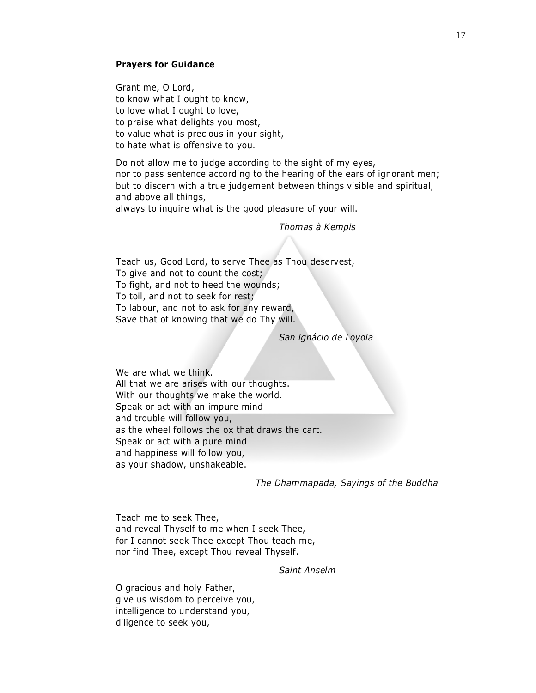#### Prayers for Guidance

Grant me, O Lord, to know what I ought to know, to love what I ought to love, to praise what delights you most, to value what is precious in your sight, to hate what is offensive to you.

Do not allow me to judge according to the sight of my eyes, nor to pass sentence according to the hearing of the ears of ignorant men; but to discern with a true judgement between things visible and spiritual, and above all things,

always to inquire what is the good pleasure of your will.

Thomas à Kempis

Teach us, Good Lord, to serve Thee as Thou deservest, To give and not to count the cost; To fight, and not to heed the wounds; To toil, and not to seek for rest; To labour, and not to ask for any reward, Save that of knowing that we do Thy will.

San lgnácio de Loyola

We are what we think. All that we are arises with our thoughts. With our thoughts we make the world. Speak or act with an impure mind and trouble will follow you, as the wheel follows the ox that draws the cart. Speak or act with a pure mind and happiness will follow you, as your shadow, unshakeable.

The Dhammapada, Sayings of the Buddha

Teach me to seek Thee, and reveal Thyself to me when I seek Thee, for I cannot seek Thee except Thou teach me, nor find Thee, except Thou reveal Thyself.

Saint Anselm

O gracious and holy Father, give us wisdom to perceive you, intelligence to understand you, diligence to seek you,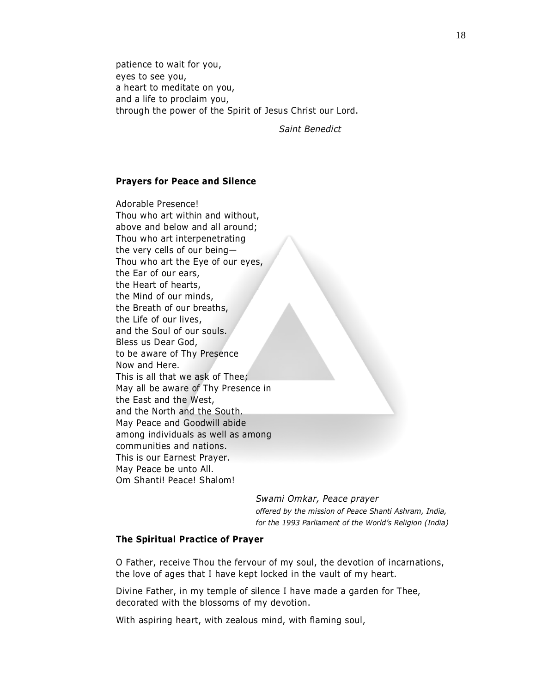patience to wait for you, eyes to see you, a heart to meditate on you, and a life to proclaim you, through the power of the Spirit of Jesus Christ our Lord.

Saint Benedict

## Prayers for Peace and Silence

Adorable Presence! Thou who art within and without, above and below and all around; Thou who art interpenetrating the very cells of our being— Thou who art the Eye of our eyes, the Ear of our ears, the Heart of hearts, the Mind of our minds, the Breath of our breaths, the Life of our lives, and the Soul of our souls. Bless us Dear God, to be aware of Thy Presence Now and Here. This is all that we ask of Thee; May all be aware of Thy Presence in the East and the West, and the North and the South. May Peace and Goodwill abide among individuals as well as among communities and nations. This is our Earnest Prayer. May Peace be unto All. Om Shanti! Peace! Shalom!

> Swami Omkar, Peace prayer offered by the mission of Peace Shanti Ashram, India, for the 1993 Parliament of the World's Religion (India)

## The Spiritual Practice of Prayer

O Father, receive Thou the fervour of my soul, the devotion of incarnations, the love of ages that I have kept locked in the vault of my heart.

Divine Father, in my temple of silence I have made a garden for Thee, decorated with the blossoms of my devotion.

With aspiring heart, with zealous mind, with flaming soul,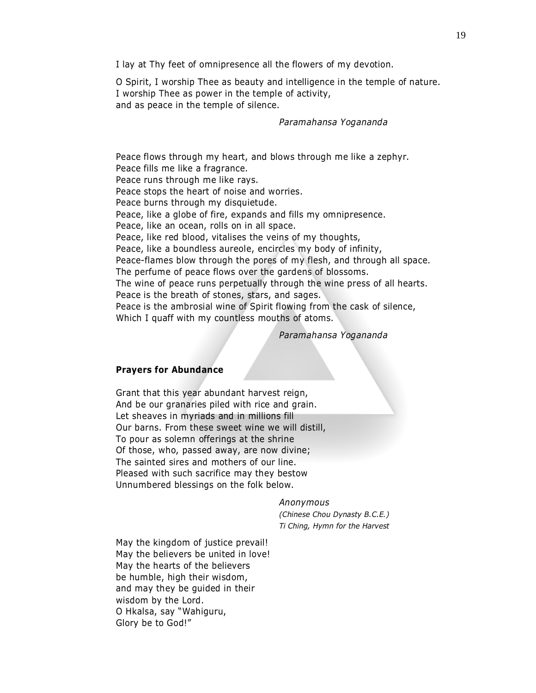I lay at Thy feet of omnipresence all the flowers of my devotion.

O Spirit, I worship Thee as beauty and intelligence in the temple of nature. I worship Thee as power in the temple of activity, and as peace in the temple of silence.

#### Paramahansa Yogananda

Peace flows through my heart, and blows through me like a zephyr. Peace fills me like a fragrance. Peace runs through me like rays. Peace stops the heart of noise and worries. Peace burns through my disquietude. Peace, like a globe of fire, expands and fills my omnipresence. Peace, like an ocean, rolls on in all space. Peace, like red blood, vitalises the veins of my thoughts, Peace, like a boundless aureole, encircles my body of infinity, Peace-flames blow through the pores of my flesh, and through all space. The perfume of peace flows over the gardens of blossoms. The wine of peace runs perpetually through the wine press of all hearts. Peace is the breath of stones, stars, and sages. Peace is the ambrosial wine of Spirit flowing from the cask of silence, Which I quaff with my countless mouths of atoms.

Paramahansa Yogananda

## Prayers for Abundance

Grant that this year abundant harvest reign, And be our granaries piled with rice and grain. Let sheaves in myriads and in millions fill Our barns. From these sweet wine we will distill, To pour as solemn offerings at the shrine Of those, who, passed away, are now divine; The sainted sires and mothers of our line. Pleased with such sacrifice may they bestow Unnumbered blessings on the folk below.

#### Anonymous

(Chinese Chou Dynasty B.C.E.) Ti Ching, Hymn for the Harvest

May the kingdom of justice prevail! May the believers be united in love! May the hearts of the believers be humble, high their wisdom, and may they be guided in their wisdom by the Lord. O Hkalsa, say "Wahiguru, Glory be to God!"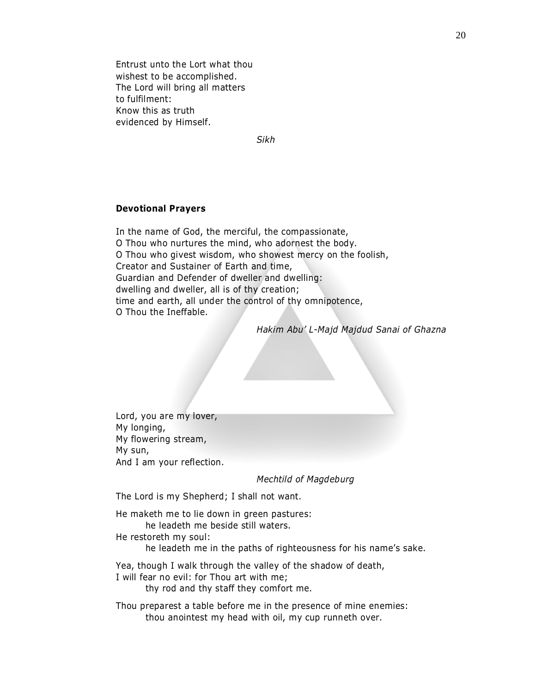Entrust unto the Lort what thou wishest to be accomplished. The Lord will bring all matters to fulfilment: Know this as truth evidenced by Himself.

Sikh

### Devotional Prayers

In the name of God, the merciful, the compassionate, O Thou who nurtures the mind, who adornest the body. O Thou who givest wisdom, who showest mercy on the foolish, Creator and Sustainer of Earth and time, Guardian and Defender of dweller and dwelling: dwelling and dweller, all is of thy creation; time and earth, all under the control of thy omnipotence, O Thou the Ineffable.

Hakim Abu' L-Majd Majdud Sanai of Ghazna

Lord, you are my lover, My longing, My flowering stream, My sun, And I am your reflection.

Mechtild of Magdeburg

The Lord is my Shepherd; I shall not want.

He maketh me to lie down in green pastures: he leadeth me beside still waters.

He restoreth my soul:

he leadeth me in the paths of righteousness for his name's sake.

Yea, though I walk through the valley of the shadow of death, I will fear no evil: for Thou art with me;

thy rod and thy staff they comfort me.

Thou preparest a table before me in the presence of mine enemies: thou anointest my head with oil, my cup runneth over.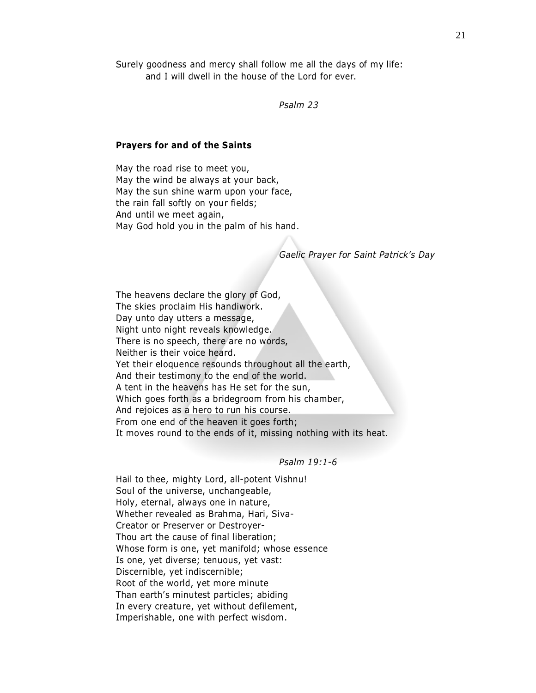Surely goodness and mercy shall follow me all the days of my life: and I will dwell in the house of the Lord for ever.

Psalm 23

#### Prayers for and of the Saints

May the road rise to meet you, May the wind be always at your back, May the sun shine warm upon your face, the rain fall softly on your fields; And until we meet again, May God hold you in the palm of his hand.

Gaelic Prayer for Saint Patrick's Day

The heavens declare the glory of God, The skies proclaim His handiwork. Day unto day utters a message, Night unto night reveals knowledge. There is no speech, there are no words, Neither is their voice heard. Yet their eloquence resounds throughout all the earth, And their testimony to the end of the world. A tent in the heavens has He set for the sun, Which goes forth as a bridegroom from his chamber, And rejoices as a hero to run his course. From one end of the heaven it goes forth; It moves round to the ends of it, missing nothing with its heat.

#### Psalm 19:1-6

Hail to thee, mighty Lord, all-potent Vishnu! Soul of the universe, unchangeable, Holy, eternal, always one in nature, Whether revealed as Brahma, Hari, Siva-Creator or Preserver or Destroyer-Thou art the cause of final liberation; Whose form is one, yet manifold; whose essence Is one, yet diverse; tenuous, yet vast: Discernible, yet indiscernible; Root of the world, yet more minute Than earth's minutest particles; abiding In every creature, yet without defilement, Imperishable, one with perfect wisdom.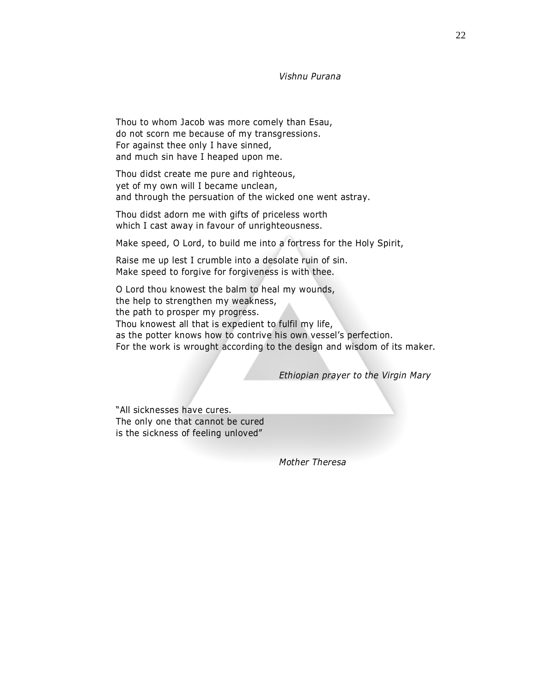Thou to whom Jacob was more comely than Esau, do not scorn me because of my transgressions. For against thee only I have sinned, and much sin have I heaped upon me.

Thou didst create me pure and righteous, yet of my own will I became unclean, and through the persuation of the wicked one went astray.

Thou didst adorn me with gifts of priceless worth which I cast away in favour of unrighteousness.

Make speed, O Lord, to build me into a fortress for the Holy Spirit,

Raise me up lest I crumble into a desolate ruin of sin. Make speed to forgive for forgiveness is with thee.

O Lord thou knowest the balm to heal my wounds, the help to strengthen my weakness, the path to prosper my progress. Thou knowest all that is expedient to fulfil my life, as the potter knows how to contrive his own vessel's perfection. For the work is wrought according to the design and wisdom of its maker.

Ethiopian prayer to the Virgin Mary

"All sicknesses have cures. The only one that cannot be cured is the sickness of feeling unloved"

Mother Theresa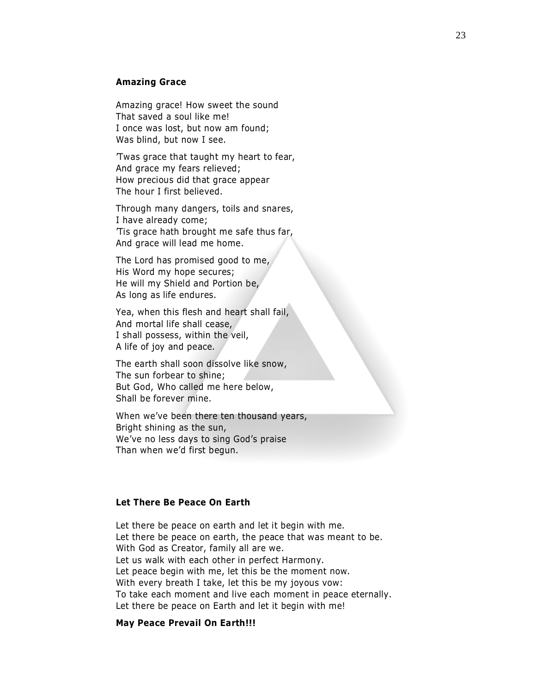## Amazing Grace

Amazing grace! How sweet the sound That saved a soul like me! I once was lost, but now am found; Was blind, but now I see.

'Twas grace that taught my heart to fear, And grace my fears relieved; How precious did that grace appear The hour I first believed.

Through many dangers, toils and snares, I have already come; 'Tis grace hath brought me safe thus far, And grace will lead me home.

The Lord has promised good to me, His Word my hope secures; He will my Shield and Portion be, As long as life endures.

Yea, when this flesh and heart shall fail, And mortal life shall cease, I shall possess, within the veil, A life of joy and peace.

The earth shall soon dissolve like snow, The sun forbear to shine; But God, Who called me here below, Shall be forever mine.

When we've been there ten thousand years, Bright shining as the sun, We've no less days to sing God's praise Than when we'd first begun.

## Let There Be Peace On Earth

Let there be peace on earth and let it begin with me. Let there be peace on earth, the peace that was meant to be. With God as Creator, family all are we. Let us walk with each other in perfect Harmony. Let peace begin with me, let this be the moment now. With every breath I take, let this be my joyous vow: To take each moment and live each moment in peace eternally. Let there be peace on Earth and let it begin with me!

#### May Peace Prevail On Earth!!!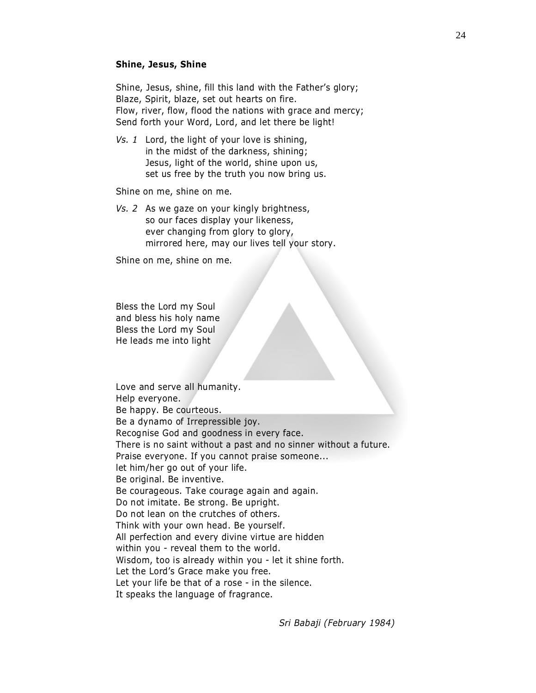#### Shine, Jesus, Shine

Shine, Jesus, shine, fill this land with the Father's glory; Blaze, Spirit, blaze, set out hearts on fire. Flow, river, flow, flood the nations with grace and mercy; Send forth your Word, Lord, and let there be light!

Vs. 1 Lord, the light of your love is shining, in the midst of the darkness, shining; Jesus, light of the world, shine upon us, set us free by the truth you now bring us.

Shine on me, shine on me.

Vs. 2 As we gaze on your kingly brightness, so our faces display your likeness, ever changing from glory to glory, mirrored here, may our lives tell your story.

Shine on me, shine on me.

Bless the Lord my Soul and bless his holy name Bless the Lord my Soul He leads me into light

Love and serve all humanity. Help everyone. Be happy. Be courteous. Be a dynamo of Irrepressible joy. Recognise God and goodness in every face. There is no saint without a past and no sinner without a future. Praise everyone. If you cannot praise someone... let him/her go out of your life. Be original. Be inventive. Be courageous. Take courage again and again. Do not imitate. Be strong. Be upright. Do not lean on the crutches of others. Think with your own head. Be yourself. All perfection and every divine virtue are hidden within you - reveal them to the world. Wisdom, too is already within you - let it shine forth. Let the Lord's Grace make you free. Let your life be that of a rose - in the silence. It speaks the language of fragrance.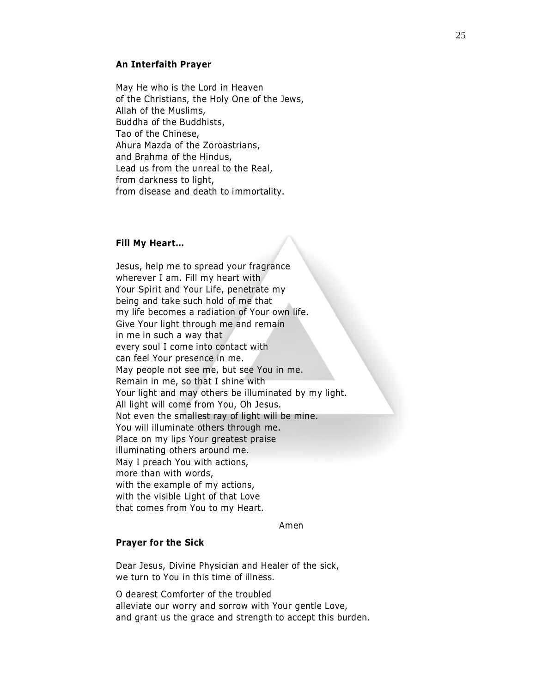#### An Interfaith Prayer

May He who is the Lord in Heaven of the Christians, the Holy One of the Jews, Allah of the Muslims, Buddha of the Buddhists, Tao of the Chinese, Ahura Mazda of the Zoroastrians, and Brahma of the Hindus, Lead us from the unreal to the Real, from darkness to light, from disease and death to immortality.

#### Fill My Heart…

Jesus, help me to spread your fragrance wherever I am. Fill my heart with Your Spirit and Your Life, penetrate my being and take such hold of me that my life becomes a radiation of Your own life. Give Your light through me and remain in me in such a way that every soul I come into contact with can feel Your presence in me. May people not see me, but see You in me. Remain in me, so that I shine with Your light and may others be illuminated by my light. All light will come from You, Oh Jesus. Not even the smallest ray of light will be mine. You will illuminate others through me. Place on my lips Your greatest praise illuminating others around me. May I preach You with actions, more than with words, with the example of my actions, with the visible Light of that Love that comes from You to my Heart.

Amen

#### Prayer for the Sick

Dear Jesus, Divine Physician and Healer of the sick, we turn to You in this time of illness.

O dearest Comforter of the troubled alleviate our worry and sorrow with Your gentle Love, and grant us the grace and strength to accept this burden.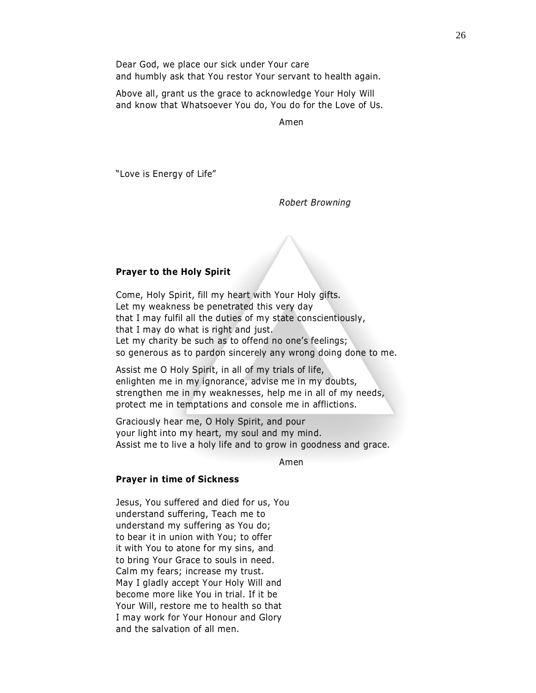Dear God, we place our sick under Your care and humbly ask that You restor Your servant to health again.

Above all, grant us the grace to acknowledge Your Holy Will and know that Whatsoever You do, You do for the Love of Us.

Amen

"Love is Energy of Life"

Robert Browning

#### Prayer to the Holy Spirit

Come, Holy Spirit, fill my heart with Your Holy gifts. Let my weakness be penetrated this very day that I may fulfil all the duties of my state conscientiously, that I may do what is right and just. Let my charity be such as to offend no one's feelings; so generous as to pardon sincerely any wrong doing done to me.

Assist me O Holy Spirit, in all of my trials of life, enlighten me in my ignorance, advise me in my doubts, strengthen me in my weaknesses, help me in all of my needs, protect me in temptations and console me in afflictions.

Graciously hear me, O Holy Spirit, and pour your light into my heart, my soul and my mind. Assist me to live a holy life and to grow in goodness and grace.

Amen

## Prayer in time of Sickness

Jesus, You suffered and died for us, You understand suffering, Teach me to understand my suffering as You do; to bear it in union with You; to offer it with You to atone for my sins, and to bring Your Grace to souls in need. Calm my fears; increase my trust. May I gladly accept Your Holy Will and become more like You in trial. If it be Your Will, restore me to health so that I may work for Your Honour and Glory and the salvation of all men.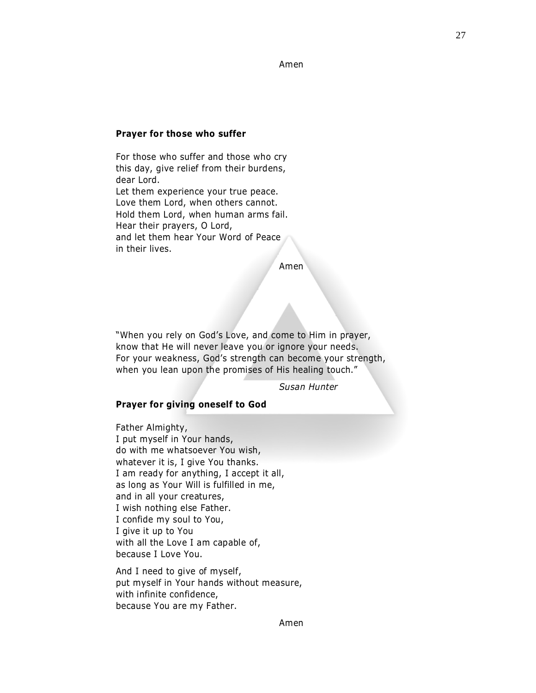Amen

#### Prayer for those who suffer

For those who suffer and those who cry this day, give relief from their burdens, dear Lord. Let them experience your true peace.

Love them Lord, when others cannot. Hold them Lord, when human arms fail. Hear their prayers, O Lord, and let them hear Your Word of Peace in their lives.

Amen

"When you rely on God's Love, and come to Him in prayer, know that He will never leave you or ignore your needs. For your weakness, God's strength can become your strength, when you lean upon the promises of His healing touch."

Susan Hunter

## Prayer for giving oneself to God

Father Almighty, I put myself in Your hands, do with me whatsoever You wish, whatever it is, I give You thanks. I am ready for anything, I accept it all, as long as Your Will is fulfilled in me, and in all your creatures, I wish nothing else Father. I confide my soul to You, I give it up to You with all the Love I am capable of, because I Love You.

And I need to give of myself, put myself in Your hands without measure, with infinite confidence, because You are my Father.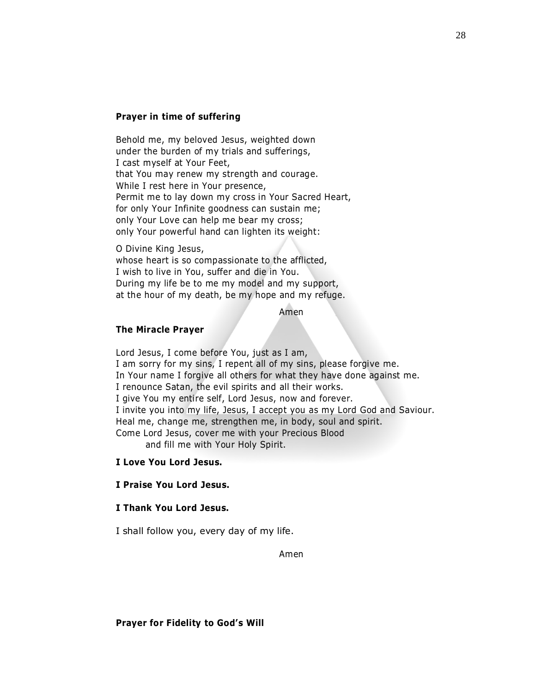## Prayer in time of suffering

Behold me, my beloved Jesus, weighted down under the burden of my trials and sufferings, I cast myself at Your Feet, that You may renew my strength and courage. While I rest here in Your presence, Permit me to lay down my cross in Your Sacred Heart, for only Your Infinite goodness can sustain me; only Your Love can help me bear my cross; only Your powerful hand can lighten its weight:

O Divine King Jesus, whose heart is so compassionate to the afflicted, I wish to live in You, suffer and die in You. During my life be to me my model and my support, at the hour of my death, be my hope and my refuge.

Amen

## The Miracle Prayer

Lord Jesus, I come before You, just as I am, I am sorry for my sins, I repent all of my sins, please forgive me. In Your name I forgive all others for what they have done against me. I renounce Satan, the evil spirits and all their works. I give You my entire self, Lord Jesus, now and forever. I invite you into my life, Jesus, I accept you as my Lord God and Saviour. Heal me, change me, strengthen me, in body, soul and spirit. Come Lord Jesus, cover me with your Precious Blood and fill me with Your Holy Spirit.

I Love You Lord Jesus.

I Praise You Lord Jesus.

#### I Thank You Lord Jesus.

I shall follow you, every day of my life.

Amen

Prayer for Fidelity to God's Will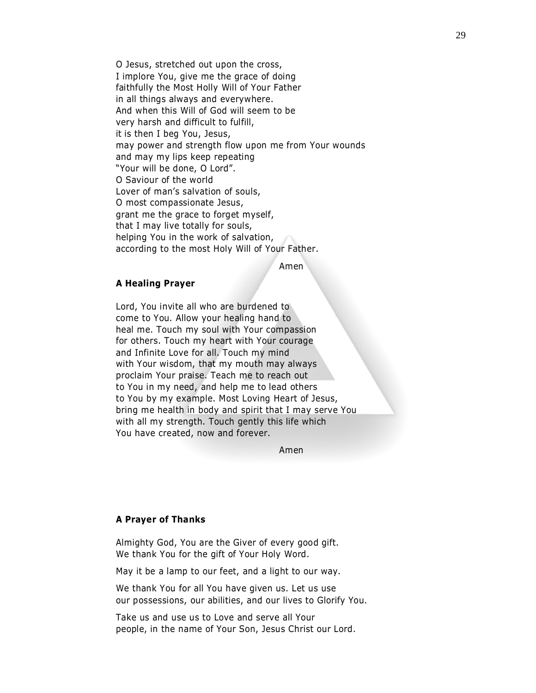O Jesus, stretched out upon the cross, I implore You, give me the grace of doing faithfully the Most Holly Will of Your Father in all things always and everywhere. And when this Will of God will seem to be very harsh and difficult to fulfill, it is then I beg You, Jesus, may power and strength flow upon me from Your wounds and may my lips keep repeating "Your will be done, O Lord". O Saviour of the world Lover of man's salvation of souls, O most compassionate Jesus, grant me the grace to forget myself, that I may live totally for souls, helping You in the work of salvation, according to the most Holy Will of Your Father.

Amen

#### A Healing Prayer

Lord, You invite all who are burdened to come to You. Allow your healing hand to heal me. Touch my soul with Your compassion for others. Touch my heart with Your courage and Infinite Love for all. Touch my mind with Your wisdom, that my mouth may always proclaim Your praise. Teach me to reach out to You in my need, and help me to lead others to You by my example. Most Loving Heart of Jesus, bring me health in body and spirit that I may serve You with all my strength. Touch gently this life which You have created, now and forever.

Amen

#### A Prayer of Thanks

Almighty God, You are the Giver of every good gift. We thank You for the gift of Your Holy Word.

May it be a lamp to our feet, and a light to our way.

We thank You for all You have given us. Let us use our possessions, our abilities, and our lives to Glorify You.

Take us and use us to Love and serve all Your people, in the name of Your Son, Jesus Christ our Lord.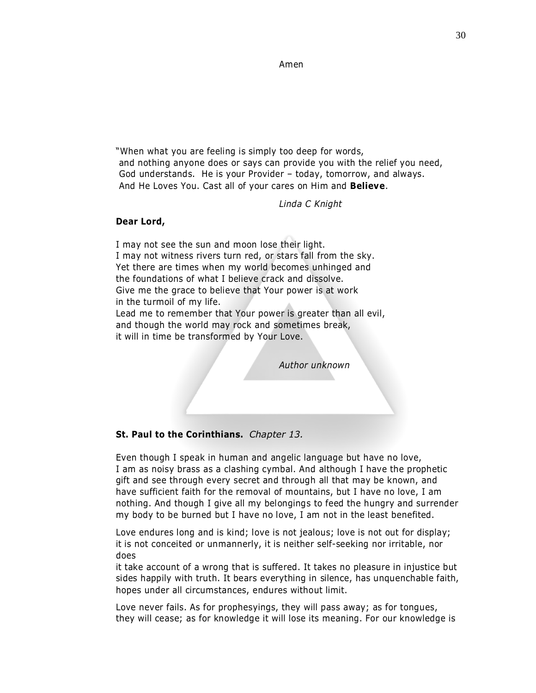Amen

"When what you are feeling is simply too deep for words, and nothing anyone does or says can provide you with the relief you need, God understands. He is your Provider – today, tomorrow, and always. And He Loves You. Cast all of your cares on Him and Believe.

Linda C Knight

## Dear Lord,

I may not see the sun and moon lose their light. I may not witness rivers turn red, or stars fall from the sky. Yet there are times when my world becomes unhinged and the foundations of what I believe crack and dissolve. Give me the grace to believe that Your power is at work in the turmoil of my life. Lead me to remember that Your power is greater than all evil, and though the world may rock and sometimes break,

it will in time be transformed by Your Love.

Author unknown

## St. Paul to the Corinthians. Chapter 13.

Even though I speak in human and angelic language but have no love, I am as noisy brass as a clashing cymbal. And although I have the prophetic gift and see through every secret and through all that may be known, and have sufficient faith for the removal of mountains, but I have no love, I am nothing. And though I give all my belongings to feed the hungry and surrender my body to be burned but I have no love, I am not in the least benefited.

Love endures long and is kind; love is not jealous; love is not out for display; it is not conceited or unmannerly, it is neither self-seeking nor irritable, nor does

it take account of a wrong that is suffered. It takes no pleasure in injustice but sides happily with truth. It bears everything in silence, has unquenchable faith, hopes under all circumstances, endures without limit.

Love never fails. As for prophesyings, they will pass away; as for tongues, they will cease; as for knowledge it will lose its meaning. For our knowledge is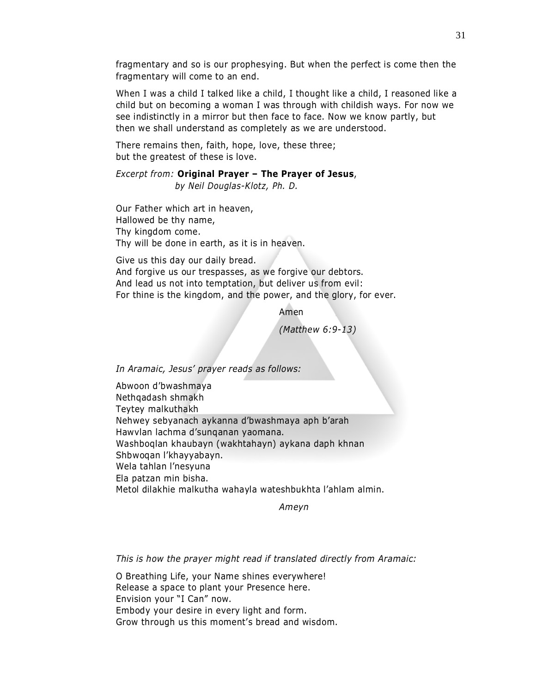fragmentary and so is our prophesying. But when the perfect is come then the fragmentary will come to an end.

When I was a child I talked like a child, I thought like a child, I reasoned like a child but on becoming a woman I was through with childish ways. For now we see indistinctly in a mirror but then face to face. Now we know partly, but then we shall understand as completely as we are understood.

There remains then, faith, hope, love, these three; but the greatest of these is love.

## Excerpt from: Original Prayer – The Prayer of Jesus,

by Neil Douglas-Klotz, Ph. D.

Our Father which art in heaven, Hallowed be thy name, Thy kingdom come. Thy will be done in earth, as it is in heaven.

Give us this day our daily bread. And forgive us our trespasses, as we forgive our debtors. And lead us not into temptation, but deliver us from evil: For thine is the kingdom, and the power, and the glory, for ever.

Amen

(Matthew 6:9-13)

## In Aramaic, Jesus' prayer reads as follows:

Abwoon d'bwashmaya Nethqadash shmakh Teytey malkuthakh Nehwey sebyanach aykanna d'bwashmaya aph b'arah Hawvlan lachma d'sunqanan yaomana. Washboqlan khaubayn (wakhtahayn) aykana daph khnan Shbwoqan l'khayyabayn. Wela tahlan l'nesyuna Ela patzan min bisha. Metol dilakhie malkutha wahayla wateshbukhta l'ahlam almin.

Ameyn

This is how the prayer might read if translated directly from Aramaic:

O Breathing Life, your Name shines everywhere! Release a space to plant your Presence here. Envision your "I Can" now. Embody your desire in every light and form. Grow through us this moment's bread and wisdom.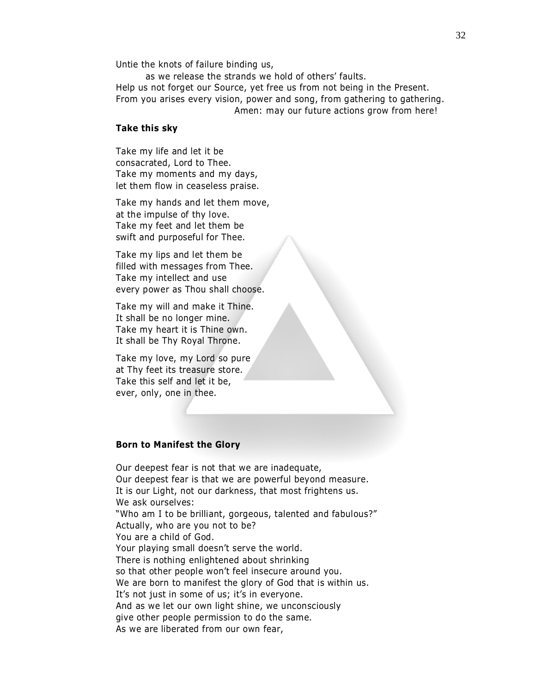Untie the knots of failure binding us,

 as we release the strands we hold of others' faults. Help us not forget our Source, yet free us from not being in the Present. From you arises every vision, power and song, from gathering to gathering. Amen: may our future actions grow from here!

## Take this sky

Take my life and let it be consacrated, Lord to Thee. Take my moments and my days, let them flow in ceaseless praise.

Take my hands and let them move, at the impulse of thy love. Take my feet and let them be swift and purposeful for Thee.

Take my lips and let them be filled with messages from Thee. Take my intellect and use every power as Thou shall choose.

Take my will and make it Thine. It shall be no longer mine. Take my heart it is Thine own. It shall be Thy Royal Throne.

Take my love, my Lord so pure at Thy feet its treasure store. Take this self and let it be, ever, only, one in thee.

#### Born to Manifest the Glory

Our deepest fear is not that we are inadequate, Our deepest fear is that we are powerful beyond measure. It is our Light, not our darkness, that most frightens us. We ask ourselves: "Who am I to be brilliant, gorgeous, talented and fabulous?" Actually, who are you not to be? You are a child of God. Your playing small doesn't serve the world. There is nothing enlightened about shrinking so that other people won't feel insecure around you. We are born to manifest the glory of God that is within us. It's not just in some of us; it's in everyone. And as we let our own light shine, we unconsciously give other people permission to do the same. As we are liberated from our own fear,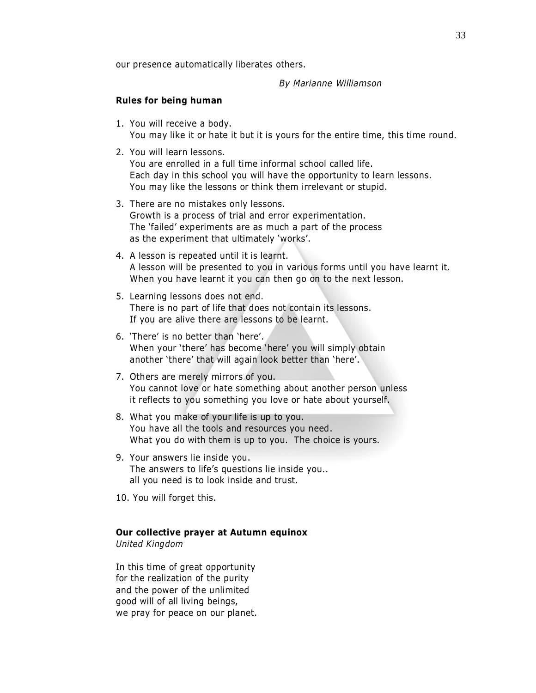our presence automatically liberates others.

By Marianne Williamson

## Rules for being human

- 1. You will receive a body. You may like it or hate it but it is yours for the entire time, this time round.
- 2. You will learn lessons.

You are enrolled in a full time informal school called life. Each day in this school you will have the opportunity to learn lessons. You may like the lessons or think them irrelevant or stupid.

- 3. There are no mistakes only lessons. Growth is a process of trial and error experimentation. The 'failed' experiments are as much a part of the process as the experiment that ultimately 'works'.
- 4. A lesson is repeated until it is learnt. A lesson will be presented to you in various forms until you have learnt it. When you have learnt it you can then go on to the next lesson.
- 5. Learning lessons does not end. There is no part of life that does not contain its lessons. If you are alive there are lessons to be learnt.
- 6. 'There' is no better than 'here'. When your 'there' has become 'here' you will simply obtain another 'there' that will again look better than 'here'.
- 7. Others are merely mirrors of you. You cannot love or hate something about another person unless it reflects to you something you love or hate about yourself.
- 8. What you make of your life is up to you. You have all the tools and resources you need. What you do with them is up to you. The choice is yours.
- 9. Your answers lie inside you. The answers to life's questions lie inside you.. all you need is to look inside and trust.
- 10. You will forget this.

## Our collective prayer at Autumn equinox

United Kingdom

In this time of great opportunity for the realization of the purity and the power of the unlimited good will of all living beings, we pray for peace on our planet.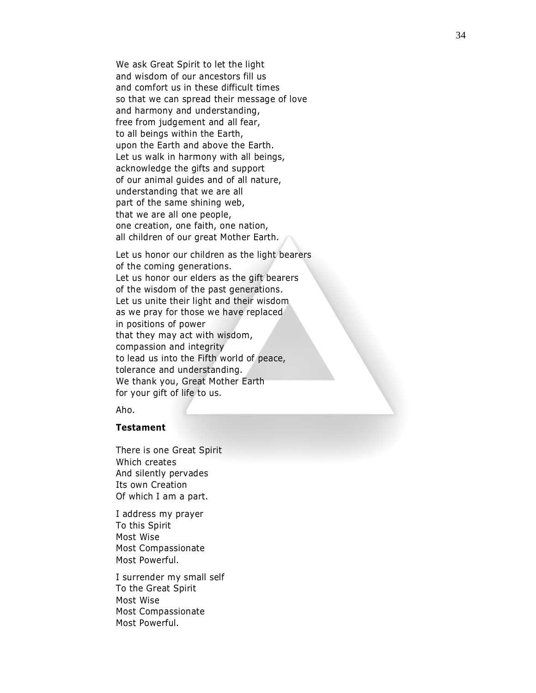We ask Great Spirit to let the light and wisdom of our ancestors fill us and comfort us in these difficult times so that we can spread their message of love and harmony and understanding, free from judgement and all fear, to all beings within the Earth, upon the Earth and above the Earth. Let us walk in harmony with all beings, acknowledge the gifts and support of our animal guides and of all nature, understanding that we are all part of the same shining web, that we are all one people, one creation, one faith, one nation, all children of our great Mother Earth.

Let us honor our children as the light bearers of the coming generations. Let us honor our elders as the gift bearers of the wisdom of the past generations. Let us unite their light and their wisdom as we pray for those we have replaced in positions of power that they may act with wisdom, compassion and integrity to lead us into the Fifth world of peace, tolerance and understanding. We thank you, Great Mother Earth for your gift of life to us.

Aho.

#### **Testament**

There is one Great Spirit Which creates And silently pervades Its own Creation Of which I am a part.

I address my prayer To this Spirit Most Wise Most Compassionate Most Powerful.

I surrender my small self To the Great Spirit Most Wise Most Compassionate Most Powerful.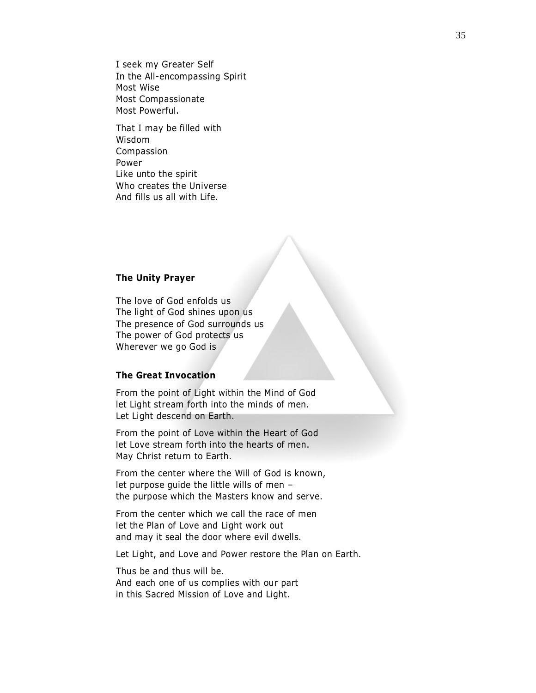I seek my Greater Self In the All-encompassing Spirit Most Wise Most Compassionate Most Powerful.

That I may be filled with Wisdom Compassion Power Like unto the spirit Who creates the Universe And fills us all with Life.

#### The Unity Prayer

The love of God enfolds us The light of God shines upon us The presence of God surrounds us The power of God protects us Wherever we go God is

## The Great Invocation

From the point of Light within the Mind of God let Light stream forth into the minds of men. Let Light descend on Earth.

From the point of Love within the Heart of God let Love stream forth into the hearts of men. May Christ return to Earth.

From the center where the Will of God is known, let purpose guide the little wills of men – the purpose which the Masters know and serve.

From the center which we call the race of men let the Plan of Love and Light work out and may it seal the door where evil dwells.

Let Light, and Love and Power restore the Plan on Earth.

Thus be and thus will be. And each one of us complies with our part in this Sacred Mission of Love and Light.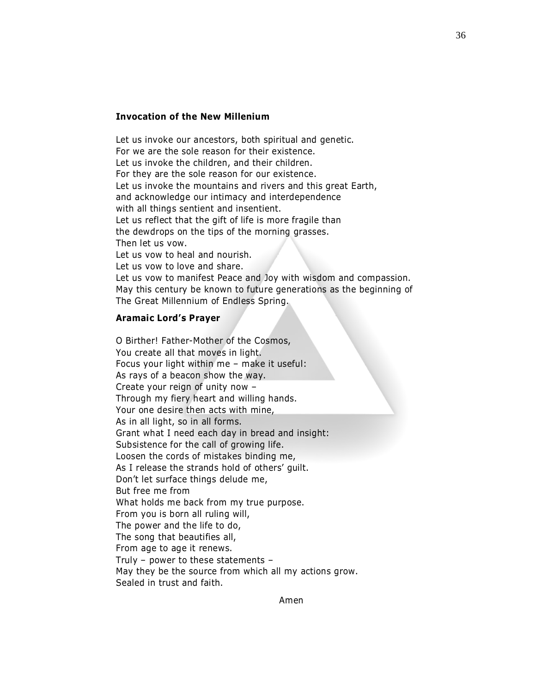## Invocation of the New Millenium

Let us invoke our ancestors, both spiritual and genetic. For we are the sole reason for their existence. Let us invoke the children, and their children. For they are the sole reason for our existence. Let us invoke the mountains and rivers and this great Earth, and acknowledge our intimacy and interdependence with all things sentient and insentient. Let us reflect that the gift of life is more fragile than the dewdrops on the tips of the morning grasses. Then let us vow. Let us vow to heal and nourish. Let us vow to love and share. Let us vow to manifest Peace and Joy with wisdom and compassion. May this century be known to future generations as the beginning of

The Great Millennium of Endless Spring.

#### Aramaic Lord's Prayer

O Birther! Father-Mother of the Cosmos, You create all that moves in light. Focus your light within me – make it useful: As rays of a beacon show the way. Create your reign of unity now – Through my fiery heart and willing hands. Your one desire then acts with mine, As in all light, so in all forms. Grant what I need each day in bread and insight: Subsistence for the call of growing life. Loosen the cords of mistakes binding me, As I release the strands hold of others' guilt. Don't let surface things delude me, But free me from What holds me back from my true purpose. From you is born all ruling will, The power and the life to do, The song that beautifies all, From age to age it renews. Truly – power to these statements – May they be the source from which all my actions grow. Sealed in trust and faith.

Amen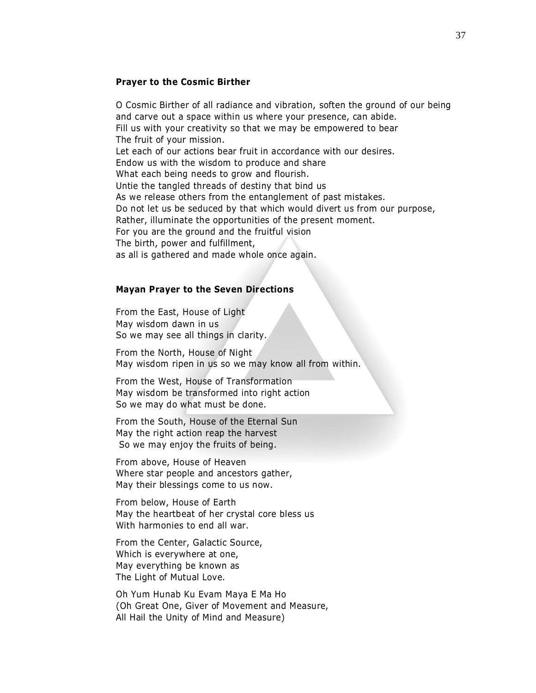## Prayer to the Cosmic Birther

O Cosmic Birther of all radiance and vibration, soften the ground of our being and carve out a space within us where your presence, can abide. Fill us with your creativity so that we may be empowered to bear The fruit of your mission. Let each of our actions bear fruit in accordance with our desires. Endow us with the wisdom to produce and share What each being needs to grow and flourish. Untie the tangled threads of destiny that bind us As we release others from the entanglement of past mistakes. Do not let us be seduced by that which would divert us from our purpose, Rather, illuminate the opportunities of the present moment. For you are the ground and the fruitful vision The birth, power and fulfillment, as all is gathered and made whole once again.

## Mayan Prayer to the Seven Directions

From the East, House of Light May wisdom dawn in us So we may see all things in clarity.

From the North, House of Night May wisdom ripen in us so we may know all from within.

From the West, House of Transformation May wisdom be transformed into right action So we may do what must be done.

From the South, House of the Eternal Sun May the right action reap the harvest So we may enjoy the fruits of being.

From above, House of Heaven Where star people and ancestors gather, May their blessings come to us now.

From below, House of Earth May the heartbeat of her crystal core bless us With harmonies to end all war.

From the Center, Galactic Source, Which is everywhere at one, May everything be known as The Light of Mutual Love.

Oh Yum Hunab Ku Evam Maya E Ma Ho (Oh Great One, Giver of Movement and Measure, All Hail the Unity of Mind and Measure)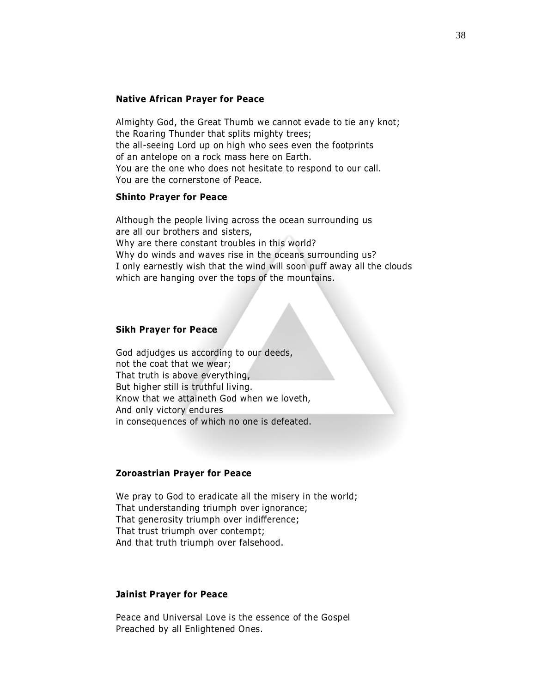#### Native African Prayer for Peace

Almighty God, the Great Thumb we cannot evade to tie any knot; the Roaring Thunder that splits mighty trees; the all-seeing Lord up on high who sees even the footprints of an antelope on a rock mass here on Earth. You are the one who does not hesitate to respond to our call. You are the cornerstone of Peace.

## Shinto Prayer for Peace

Although the people living across the ocean surrounding us are all our brothers and sisters, Why are there constant troubles in this world? Why do winds and waves rise in the oceans surrounding us? I only earnestly wish that the wind will soon puff away all the clouds which are hanging over the tops of the mountains.

## Sikh Prayer for Peace

God adjudges us according to our deeds, not the coat that we wear; That truth is above everything, But higher still is truthful living. Know that we attaineth God when we loveth, And only victory endures in consequences of which no one is defeated.

## Zoroastrian Prayer for Peace

We pray to God to eradicate all the misery in the world; That understanding triumph over ignorance; That generosity triumph over indifference; That trust triumph over contempt; And that truth triumph over falsehood.

#### Jainist Prayer for Peace

Peace and Universal Love is the essence of the Gospel Preached by all Enlightened Ones.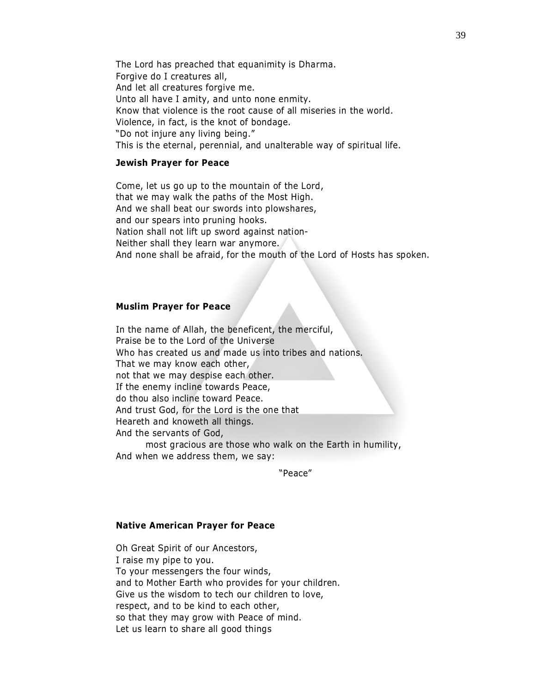The Lord has preached that equanimity is Dharma. Forgive do I creatures all, And let all creatures forgive me. Unto all have I amity, and unto none enmity. Know that violence is the root cause of all miseries in the world. Violence, in fact, is the knot of bondage. "Do not injure any living being." This is the eternal, perennial, and unalterable way of spiritual life.

#### Jewish Prayer for Peace

Come, let us go up to the mountain of the Lord, that we may walk the paths of the Most High. And we shall beat our swords into plowshares, and our spears into pruning hooks. Nation shall not lift up sword against nation-Neither shall they learn war anymore. And none shall be afraid, for the mouth of the Lord of Hosts has spoken.

#### Muslim Prayer for Peace

In the name of Allah, the beneficent, the merciful, Praise be to the Lord of the Universe Who has created us and made us into tribes and nations. That we may know each other, not that we may despise each other. If the enemy incline towards Peace, do thou also incline toward Peace. And trust God, for the Lord is the one that Heareth and knoweth all things. And the servants of God, most gracious are those who walk on the Earth in humility, And when we address them, we say:

"Peace"

## Native American Prayer for Peace

Oh Great Spirit of our Ancestors, I raise my pipe to you. To your messengers the four winds, and to Mother Earth who provides for your children. Give us the wisdom to tech our children to love, respect, and to be kind to each other, so that they may grow with Peace of mind. Let us learn to share all good things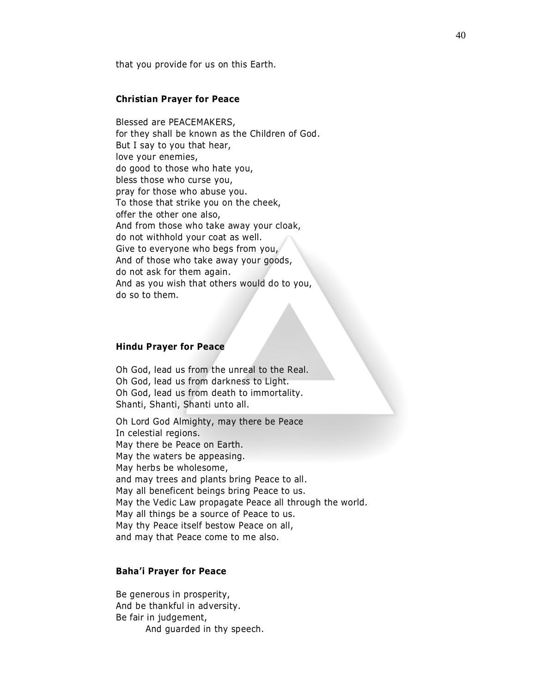that you provide for us on this Earth.

#### Christian Prayer for Peace

Blessed are PEACEMAKERS, for they shall be known as the Children of God. But I say to you that hear, love your enemies, do good to those who hate you, bless those who curse you, pray for those who abuse you. To those that strike you on the cheek, offer the other one also, And from those who take away your cloak, do not withhold your coat as well. Give to everyone who begs from you, And of those who take away your goods, do not ask for them again. And as you wish that others would do to you, do so to them.

## Hindu Prayer for Peace

Oh God, lead us from the unreal to the Real. Oh God, lead us from darkness to Light. Oh God, lead us from death to immortality. Shanti, Shanti, Shanti unto all.

Oh Lord God Almighty, may there be Peace In celestial regions. May there be Peace on Earth. May the waters be appeasing. May herbs be wholesome, and may trees and plants bring Peace to all. May all beneficent beings bring Peace to us. May the Vedic Law propagate Peace all through the world. May all things be a source of Peace to us. May thy Peace itself bestow Peace on all, and may that Peace come to me also.

#### Baha'i Prayer for Peace

Be generous in prosperity, And be thankful in adversity. Be fair in judgement, And guarded in thy speech.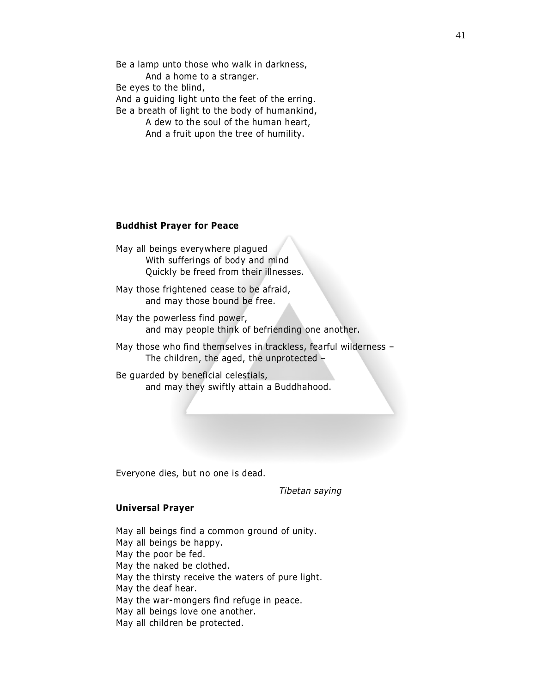Be a lamp unto those who walk in darkness, And a home to a stranger. Be eyes to the blind, And a guiding light unto the feet of the erring. Be a breath of light to the body of humankind, A dew to the soul of the human heart, And a fruit upon the tree of humility.

## Buddhist Prayer for Peace

May all beings everywhere plagued With sufferings of body and mind Quickly be freed from their illnesses.

May those frightened cease to be afraid, and may those bound be free.

May the powerless find power, and may people think of befriending one another.

May those who find themselves in trackless, fearful wilderness – The children, the aged, the unprotected –

Be guarded by beneficial celestials, and may they swiftly attain a Buddhahood.

Everyone dies, but no one is dead.

Tibetan saying

#### Universal Prayer

May all beings find a common ground of unity. May all beings be happy. May the poor be fed. May the naked be clothed. May the thirsty receive the waters of pure light. May the deaf hear. May the war-mongers find refuge in peace. May all beings love one another. May all children be protected.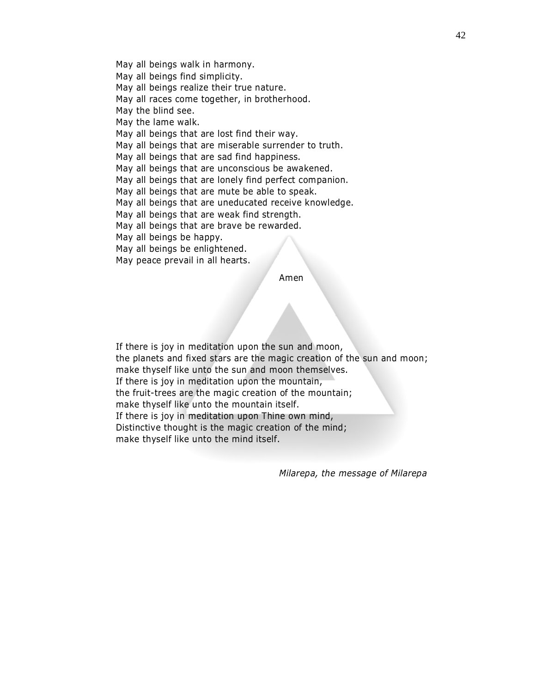May all beings walk in harmony. May all beings find simplicity. May all beings realize their true nature. May all races come together, in brotherhood. May the blind see. May the lame walk. May all beings that are lost find their way. May all beings that are miserable surrender to truth. May all beings that are sad find happiness. May all beings that are unconscious be awakened. May all beings that are lonely find perfect companion. May all beings that are mute be able to speak. May all beings that are uneducated receive knowledge. May all beings that are weak find strength. May all beings that are brave be rewarded. May all beings be happy. May all beings be enlightened. May peace prevail in all hearts.

Amen

If there is joy in meditation upon the sun and moon, the planets and fixed stars are the magic creation of the sun and moon; make thyself like unto the sun and moon themselves. If there is joy in meditation upon the mountain, the fruit-trees are the magic creation of the mountain; make thyself like unto the mountain itself. If there is joy in meditation upon Thine own mind, Distinctive thought is the magic creation of the mind; make thyself like unto the mind itself.

Milarepa, the message of Milarepa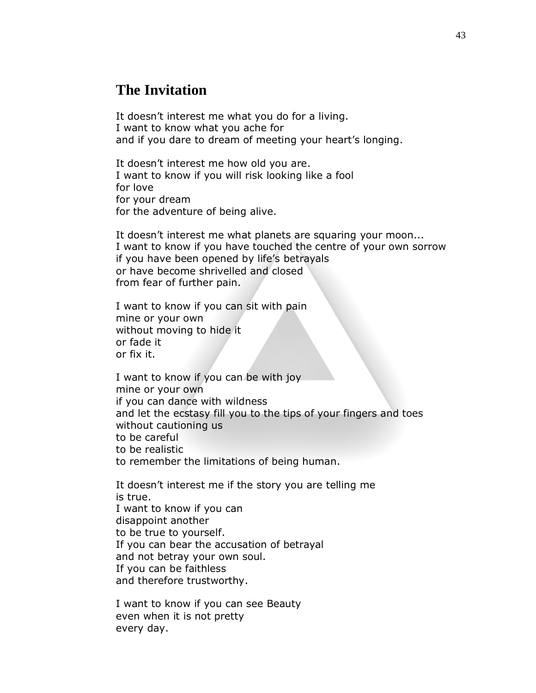## **The Invitation**

It doesn't interest me what you do for a living. I want to know what you ache for and if you dare to dream of meeting your heart's longing.

It doesn't interest me how old you are. I want to know if you will risk looking like a fool for love for your dream for the adventure of being alive.

It doesn't interest me what planets are squaring your moon... I want to know if you have touched the centre of your own sorrow if you have been opened by life's betrayals or have become shrivelled and closed from fear of further pain.

I want to know if you can sit with pain mine or your own without moving to hide it or fade it or fix it.

I want to know if you can be with joy mine or your own if you can dance with wildness and let the ecstasy fill you to the tips of your fingers and toes without cautioning us to be careful to be realistic to remember the limitations of being human.

It doesn't interest me if the story you are telling me is true. I want to know if you can disappoint another to be true to yourself. If you can bear the accusation of betrayal and not betray your own soul. If you can be faithless and therefore trustworthy.

I want to know if you can see Beauty even when it is not pretty every day.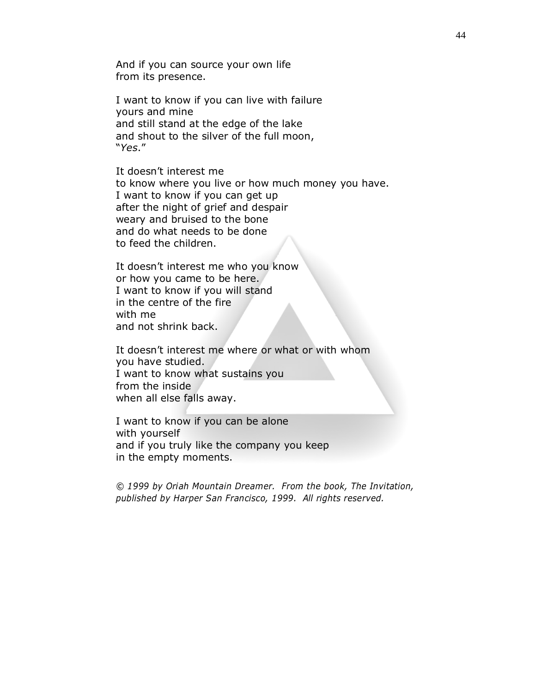And if you can source your own life from its presence.

I want to know if you can live with failure yours and mine and still stand at the edge of the lake and shout to the silver of the full moon, "Yes."

It doesn't interest me to know where you live or how much money you have. I want to know if you can get up after the night of grief and despair weary and bruised to the bone and do what needs to be done to feed the children.

It doesn't interest me who you know or how you came to be here. I want to know if you will stand in the centre of the fire with me and not shrink back.

It doesn't interest me where or what or with whom you have studied. I want to know what sustains you from the inside when all else falls away.

I want to know if you can be alone with yourself and if you truly like the company you keep in the empty moments.

© 1999 by Oriah Mountain Dreamer. From the book, The Invitation, published by Harper San Francisco, 1999. All rights reserved.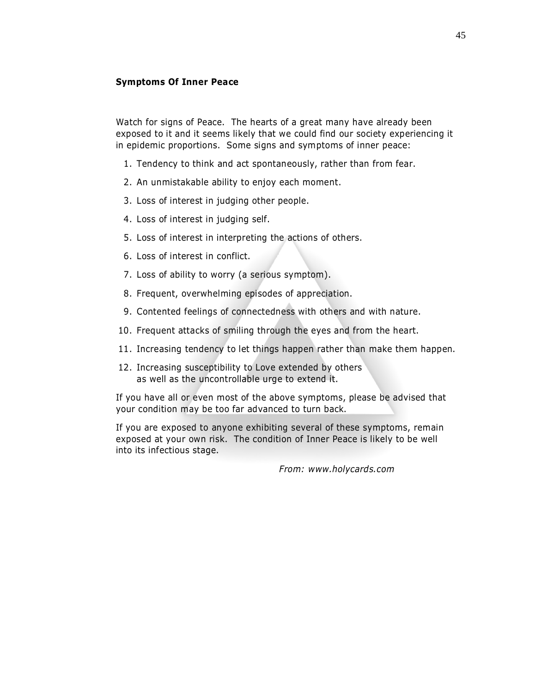## Symptoms Of Inner Peace

Watch for signs of Peace. The hearts of a great many have already been exposed to it and it seems likely that we could find our society experiencing it in epidemic proportions. Some signs and symptoms of inner peace:

- 1. Tendency to think and act spontaneously, rather than from fear.
- 2. An unmistakable ability to enjoy each moment.
- 3. Loss of interest in judging other people.
- 4. Loss of interest in judging self.
- 5. Loss of interest in interpreting the actions of others.
- 6. Loss of interest in conflict.
- 7. Loss of ability to worry (a serious symptom).
- 8. Frequent, overwhelming episodes of appreciation.
- 9. Contented feelings of connectedness with others and with nature.
- 10. Frequent attacks of smiling through the eyes and from the heart.
- 11. Increasing tendency to let things happen rather than make them happen.
- 12. Increasing susceptibility to Love extended by others as well as the uncontrollable urge to extend it.

If you have all or even most of the above symptoms, please be advised that your condition may be too far advanced to turn back.

If you are exposed to anyone exhibiting several of these symptoms, remain exposed at your own risk. The condition of Inner Peace is likely to be well into its infectious stage.

From: www.holycards.com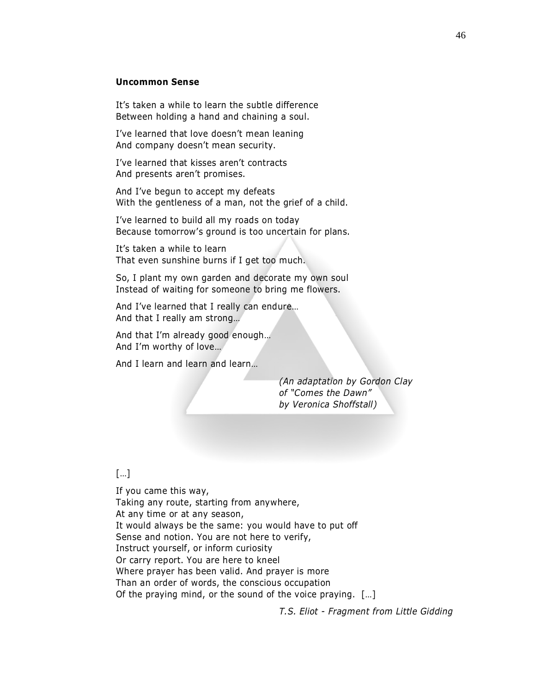## Uncommon Sense

It's taken a while to learn the subtle difference Between holding a hand and chaining a soul.

I've learned that love doesn't mean leaning And company doesn't mean security.

I've learned that kisses aren't contracts And presents aren't promises.

And I've begun to accept my defeats With the gentleness of a man, not the grief of a child.

I've learned to build all my roads on today Because tomorrow's ground is too uncertain for plans.

It's taken a while to learn That even sunshine burns if I get too much.

So, I plant my own garden and decorate my own soul Instead of waiting for someone to bring me flowers.

And I've learned that I really can endure… And that I really am strong…

And that I'm already good enough… And I'm worthy of love…

And I learn and learn and learn…

(An adaptation by Gordon Clay of "Comes the Dawn" by Veronica Shoffstall)

## […]

If you came this way, Taking any route, starting from anywhere, At any time or at any season, It would always be the same: you would have to put off Sense and notion. You are not here to verify, Instruct yourself, or inform curiosity Or carry report. You are here to kneel Where prayer has been valid. And prayer is more Than an order of words, the conscious occupation Of the praying mind, or the sound of the voice praying. […]

T.S. Eliot - Fragment from Little Gidding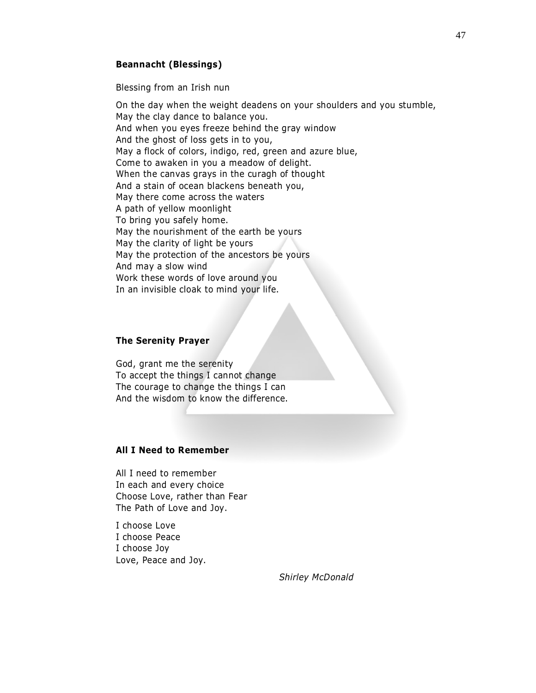## Beannacht (Blessings)

Blessing from an Irish nun

On the day when the weight deadens on your shoulders and you stumble, May the clay dance to balance you. And when you eyes freeze behind the gray window And the ghost of loss gets in to you, May a flock of colors, indigo, red, green and azure blue, Come to awaken in you a meadow of delight. When the canvas grays in the curagh of thought And a stain of ocean blackens beneath you, May there come across the waters A path of yellow moonlight To bring you safely home. May the nourishment of the earth be yours May the clarity of light be yours May the protection of the ancestors be yours And may a slow wind Work these words of love around you In an invisible cloak to mind your life.

#### The Serenity Prayer

God, grant me the serenity To accept the things I cannot change The courage to change the things I can And the wisdom to know the difference.

## All I Need to Remember

All I need to remember In each and every choice Choose Love, rather than Fear The Path of Love and Joy.

I choose Love I choose Peace I choose Joy Love, Peace and Joy.

Shirley McDonald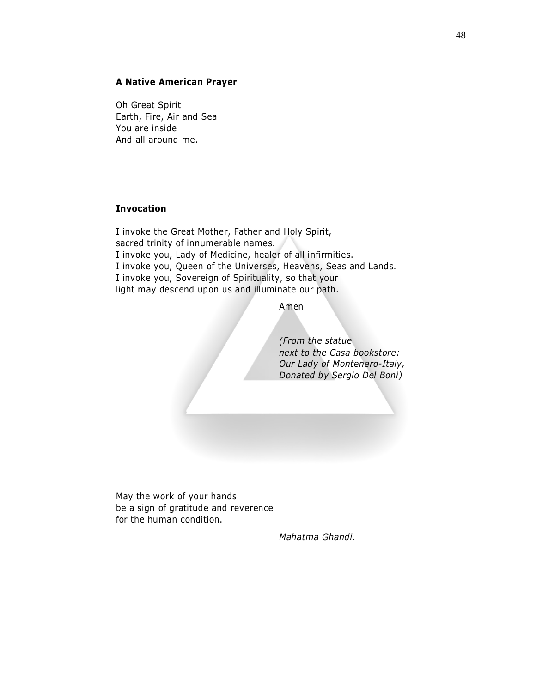## A Native American Prayer

Oh Great Spirit Earth, Fire, Air and Sea You are inside And all around me.

## Invocation

I invoke the Great Mother, Father and Holy Spirit, sacred trinity of innumerable names. I invoke you, Lady of Medicine, healer of all infirmities. I invoke you, Queen of the Universes, Heavens, Seas and Lands. I invoke you, Sovereign of Spirituality, so that your light may descend upon us and illuminate our path.

Amen

(From the statue next to the Casa bookstore: Our Lady of Montenero-Italy, Donated by Sergio Del Boni)

May the work of your hands be a sign of gratitude and reverence for the human condition.

Mahatma Ghandi.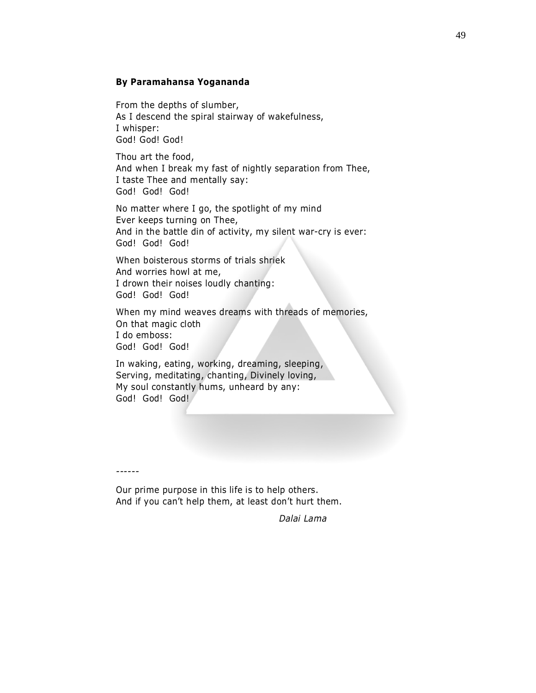## By Paramahansa Yogananda

From the depths of slumber, As I descend the spiral stairway of wakefulness, I whisper: God! God! God!

Thou art the food, And when I break my fast of nightly separation from Thee, I taste Thee and mentally say: God! God! God!

No matter where I go, the spotlight of my mind Ever keeps turning on Thee, And in the battle din of activity, my silent war-cry is ever: God! God! God!

When boisterous storms of trials shriek And worries howl at me, I drown their noises loudly chanting: God! God! God!

When my mind weaves dreams with threads of memories, On that magic cloth I do emboss: God! God! God!

In waking, eating, working, dreaming, sleeping, Serving, meditating, chanting, Divinely loving, My soul constantly hums, unheard by any: God! God! God!

Our prime purpose in this life is to help others. And if you can't help them, at least don't hurt them.

------

Dalai Lama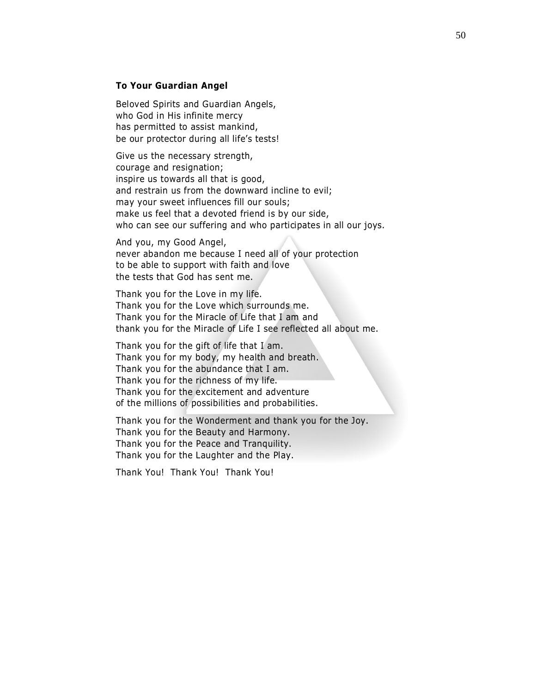#### To Your Guardian Angel

Beloved Spirits and Guardian Angels, who God in His infinite mercy has permitted to assist mankind, be our protector during all life's tests!

Give us the necessary strength, courage and resignation; inspire us towards all that is good, and restrain us from the downward incline to evil; may your sweet influences fill our souls; make us feel that a devoted friend is by our side, who can see our suffering and who participates in all our joys.

And you, my Good Angel, never abandon me because I need all of your protection to be able to support with faith and love the tests that God has sent me.

Thank you for the Love in my life. Thank you for the Love which surrounds me. Thank you for the Miracle of Life that I am and thank you for the Miracle of Life I see reflected all about me.

Thank you for the gift of life that I am. Thank you for my body, my health and breath. Thank you for the abundance that I am. Thank you for the richness of my life. Thank you for the excitement and adventure of the millions of possibilities and probabilities.

Thank you for the Wonderment and thank you for the Joy. Thank you for the Beauty and Harmony. Thank you for the Peace and Tranquility. Thank you for the Laughter and the Play.

Thank You! Thank You! Thank You!